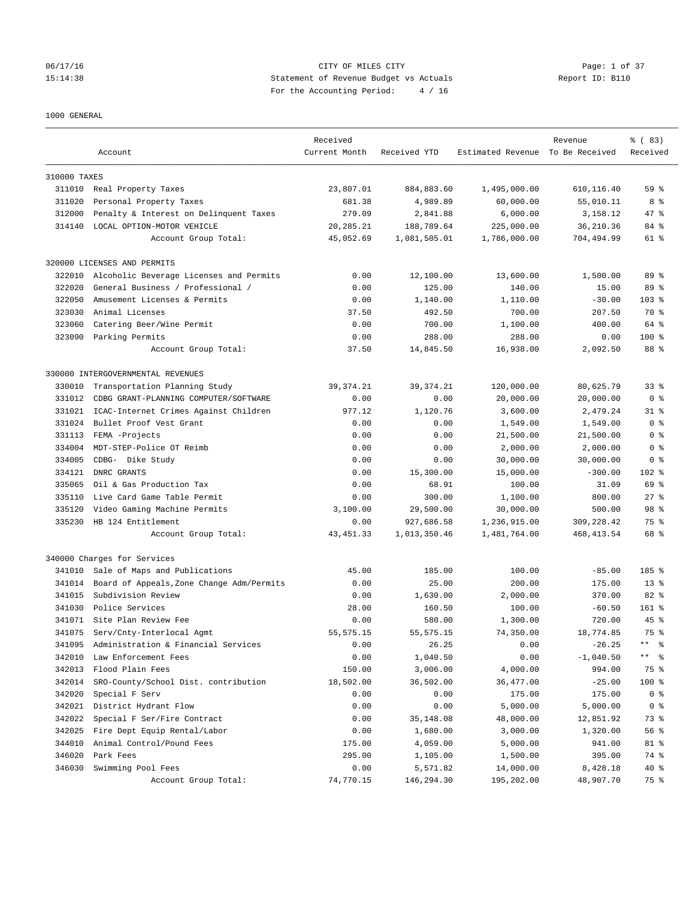#### 06/17/16 CITY OF MILES CITY Page: 1 of 37 15:14:38 Statement of Revenue Budget vs Actuals Report ID: B110 For the Accounting Period: 4 / 16

#### 1000 GENERAL

|                  |                                           | Received      |                     |                                  | Revenue     | % (83)              |
|------------------|-------------------------------------------|---------------|---------------------|----------------------------------|-------------|---------------------|
|                  | Account                                   | Current Month | Received YTD        | Estimated Revenue To Be Received |             | Received            |
|                  |                                           |               |                     |                                  |             |                     |
| 310000 TAXES     |                                           |               |                     |                                  |             |                     |
|                  | 311010 Real Property Taxes                | 23,807.01     | 884, 883.60         | 1,495,000.00                     | 610,116.40  | 59 <sup>°</sup>     |
| 311020           | Personal Property Taxes                   | 681.38        | 4,989.89            | 60,000.00                        | 55,010.11   | 8 %                 |
| 312000           | Penalty & Interest on Delinquent Taxes    | 279.09        | 2,841.88            | 6,000.00                         | 3,158.12    | 47 %                |
| 314140           | LOCAL OPTION-MOTOR VEHICLE                | 20,285.21     | 188,789.64          | 225,000.00                       | 36,210.36   | 84 %                |
|                  | Account Group Total:                      | 45,052.69     | 1,081,505.01        | 1,786,000.00                     | 704,494.99  | 61 %                |
|                  | 320000 LICENSES AND PERMITS               |               |                     |                                  |             |                     |
| 322010           | Alcoholic Beverage Licenses and Permits   | 0.00          | 12,100.00           | 13,600.00                        | 1,500.00    | 89 %                |
| 322020           | General Business / Professional /         | 0.00          | 125.00              | 140.00                           | 15.00       | 89 %                |
| 322050           | Amusement Licenses & Permits              | 0.00          | 1,140.00            | 1,110.00                         | $-30.00$    | $103*$              |
| 323030           | Animal Licenses                           | 37.50         | 492.50              | 700.00                           | 207.50      | 70 %                |
| 323060           | Catering Beer/Wine Permit                 | 0.00          | 700.00              | 1,100.00                         | 400.00      | 64 %                |
| 323090           |                                           |               |                     |                                  |             | $100$ %             |
|                  | Parking Permits<br>Account Group Total:   | 0.00          | 288.00<br>14,845.50 | 288.00                           | 0.00        |                     |
|                  |                                           | 37.50         |                     | 16,938.00                        | 2,092.50    | 88 %                |
|                  | 330000 INTERGOVERNMENTAL REVENUES         |               |                     |                                  |             |                     |
| 330010           | Transportation Planning Study             | 39, 374.21    | 39, 374.21          | 120,000.00                       | 80,625.79   | 33 <sup>8</sup>     |
| 331012           | CDBG GRANT-PLANNING COMPUTER/SOFTWARE     | 0.00          | 0.00                | 20,000.00                        | 20,000.00   | 0 <sup>8</sup>      |
| 331021           | ICAC-Internet Crimes Against Children     | 977.12        | 1,120.76            | 3,600.00                         | 2,479.24    | $31$ $%$            |
| 331024           | Bullet Proof Vest Grant                   | 0.00          | 0.00                | 1,549.00                         | 1,549.00    | 0 <sup>8</sup>      |
| 331113           | FEMA -Projects                            | 0.00          | 0.00                | 21,500.00                        | 21,500.00   | 0 %                 |
| 334004           | MDT-STEP-Police OT Reimb                  | 0.00          | 0.00                | 2,000.00                         | 2,000.00    | 0 <sup>8</sup>      |
| 334005           | CDBG- Dike Study                          | 0.00          | 0.00                | 30,000.00                        | 30,000.00   | 0 <sup>8</sup>      |
| 334121           | DNRC GRANTS                               | 0.00          | 15,300.00           | 15,000.00                        | $-300.00$   | 102 %               |
| 335065           | Oil & Gas Production Tax                  | 0.00          | 68.91               | 100.00                           | 31.09       | 69 %                |
| 335110           | Live Card Game Table Permit               | 0.00          | 300.00              | 1,100.00                         | 800.00      | $27$ $%$            |
| 335120           | Video Gaming Machine Permits              | 3,100.00      | 29,500.00           | 30,000.00                        | 500.00      | 98 %                |
| 335230           | HB 124 Entitlement                        | 0.00          | 927,686.58          | 1,236,915.00                     | 309, 228.42 | 75 %                |
|                  | Account Group Total:                      | 43, 451.33    | 1,013,350.46        | 1,481,764.00                     | 468, 413.54 | 68 %                |
|                  | 340000 Charges for Services               |               |                     |                                  |             |                     |
| 341010           | Sale of Maps and Publications             | 45.00         | 185.00              | 100.00                           | $-85.00$    | 185 %               |
| 341014           | Board of Appeals, Zone Change Adm/Permits | 0.00          | 25.00               | 200.00                           | 175.00      | $13*$               |
| 341015           | Subdivision Review                        | 0.00          | 1,630.00            | 2,000.00                         | 370.00      | 82 %                |
| 341030           | Police Services                           | 28.00         | 160.50              | 100.00                           | $-60.50$    | $161$ %             |
| 341071           | Site Plan Review Fee                      | 0.00          | 580.00              | 1,300.00                         | 720.00      | $45$ $%$            |
| 341075           | Serv/Cnty-Interlocal Agmt                 | 55, 575.15    | 55, 575.15          | 74,350.00                        | 18,774.85   | 75 %                |
|                  | Administration & Financial Services       |               |                     |                                  |             | $\star\star$<br>- ৡ |
| 341095<br>342010 | Law Enforcement Fees                      | 0.00          | 26.25               | 0.00                             | $-26.25$    | $***$<br>ి          |
|                  |                                           | 0.00          | 1,040.50            | 0.00                             | $-1,040.50$ |                     |
| 342013           | Flood Plain Fees                          | 150.00        | 3,006.00            | 4,000.00                         | 994.00      | 75 %                |
| 342014           | SRO-County/School Dist. contribution      | 18,502.00     | 36,502.00           | 36,477.00                        | $-25.00$    | 100 %               |
| 342020           | Special F Serv                            | 0.00          | 0.00                | 175.00                           | 175.00      | 0 <sup>8</sup>      |
| 342021           | District Hydrant Flow                     | 0.00          | 0.00                | 5,000.00                         | 5,000.00    | 0 <sup>8</sup>      |
| 342022           | Special F Ser/Fire Contract               | 0.00          | 35,148.08           | 48,000.00                        | 12,851.92   | 73 %                |
| 342025           | Fire Dept Equip Rental/Labor              | 0.00          | 1,680.00            | 3,000.00                         | 1,320.00    | 56%                 |
| 344010           | Animal Control/Pound Fees                 | 175.00        | 4,059.00            | 5,000.00                         | 941.00      | 81 %                |
| 346020           | Park Fees                                 | 295.00        | 1,105.00            | 1,500.00                         | 395.00      | 74 %                |
| 346030           | Swimming Pool Fees                        | 0.00          | 5,571.82            | 14,000.00                        | 8,428.18    | 40 %                |
|                  | Account Group Total:                      | 74,770.15     | 146,294.30          | 195,202.00                       | 48,907.70   | 75 %                |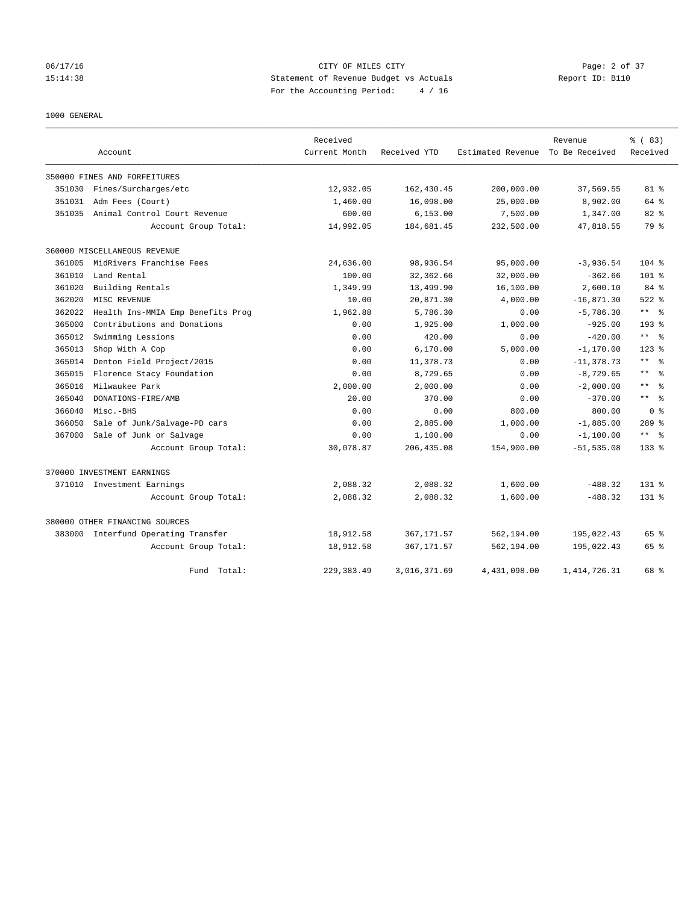## 06/17/16 CITY OF MILES CITY Page: 2 of 37 15:14:38 Statement of Revenue Budget vs Actuals Report ID: B110 For the Accounting Period: 4 / 16

#### 1000 GENERAL

|        |                                     | Received      |              |                   | Revenue        | % (83)                       |
|--------|-------------------------------------|---------------|--------------|-------------------|----------------|------------------------------|
|        | Account                             | Current Month | Received YTD | Estimated Revenue | To Be Received | Received                     |
|        | 350000 FINES AND FORFEITURES        |               |              |                   |                |                              |
| 351030 | Fines/Surcharges/etc                | 12,932.05     | 162, 430.45  | 200,000.00        | 37,569.55      | $81$ %                       |
| 351031 | Adm Fees (Court)                    | 1,460.00      | 16,098.00    | 25,000.00         | 8,902.00       | 64 %                         |
| 351035 | Animal Control Court Revenue        | 600.00        | 6, 153.00    | 7,500.00          | 1,347.00       | $82$ %                       |
|        | Account Group Total:                | 14,992.05     | 184,681.45   | 232,500.00        | 47,818.55      | 79 %                         |
|        | 360000 MISCELLANEOUS REVENUE        |               |              |                   |                |                              |
| 361005 | MidRivers Franchise Fees            | 24,636.00     | 98,936.54    | 95,000.00         | $-3,936.54$    | $104$ %                      |
| 361010 | Land Rental                         | 100.00        | 32, 362, 66  | 32,000.00         | $-362.66$      | $101$ %                      |
| 361020 | Building Rentals                    | 1,349.99      | 13,499.90    | 16,100.00         | 2,600.10       | 84 %                         |
| 362020 | MISC REVENUE                        | 10.00         | 20,871.30    | 4,000.00          | $-16,871.30$   | $522$ $%$                    |
| 362022 | Health Ins-MMIA Emp Benefits Prog   | 1,962.88      | 5,786.30     | 0.00              | $-5,786.30$    | $***$ $=$ $\frac{6}{5}$      |
| 365000 | Contributions and Donations         | 0.00          | 1,925.00     | 1,000.00          | $-925.00$      | 193 %                        |
| 365012 | Swimming Lessions                   | 0.00          | 420.00       | 0.00              | $-420.00$      | $\star$ $\star$<br>- 응       |
| 365013 | Shop With A Cop                     | 0.00          | 6,170.00     | 5,000.00          | $-1, 170.00$   | $123$ $%$                    |
| 365014 | Denton Field Project/2015           | 0.00          | 11,378.73    | 0.00              | $-11, 378.73$  | $\star$ $\star$<br>$\approx$ |
| 365015 | Florence Stacy Foundation           | 0.00          | 8,729.65     | 0.00              | $-8,729.65$    | $\star$ $\star$<br>$\approx$ |
| 365016 | Milwaukee Park                      | 2,000.00      | 2,000.00     | 0.00              | $-2,000.00$    | $\star$ $\star$<br>$\approx$ |
| 365040 | DONATIONS-FIRE/AMB                  | 20.00         | 370.00       | 0.00              | $-370.00$      | $\star$ $\star$<br>း<br>ကိ   |
| 366040 | Misc.-BHS                           | 0.00          | 0.00         | 800.00            | 800.00         | 0 <sup>8</sup>               |
| 366050 | Sale of Junk/Salvage-PD cars        | 0.00          | 2,885.00     | 1,000.00          | $-1,885.00$    | $289$ %                      |
| 367000 | Sale of Junk or Salvage             | 0.00          | 1,100.00     | 0.00              | $-1,100.00$    | $***$ $=$ $\frac{6}{5}$      |
|        | Account Group Total:                | 30,078.87     | 206, 435.08  | 154,900.00        | $-51, 535.08$  | $133*$                       |
|        | 370000 INVESTMENT EARNINGS          |               |              |                   |                |                              |
|        | 371010 Investment Earnings          | 2,088.32      | 2,088.32     | 1,600.00          | $-488.32$      | $131*$                       |
|        | Account Group Total:                | 2,088.32      | 2,088.32     | 1,600.00          | $-488.32$      | $131*$                       |
|        | 380000 OTHER FINANCING SOURCES      |               |              |                   |                |                              |
|        | 383000 Interfund Operating Transfer | 18,912.58     | 367, 171.57  | 562,194.00        | 195,022.43     | 65 %                         |
|        | Account Group Total:                | 18,912.58     | 367, 171.57  | 562,194.00        | 195,022.43     | 65 %                         |
|        | Fund Total:                         | 229, 383.49   | 3,016,371.69 | 4,431,098.00      | 1, 414, 726.31 | 68 %                         |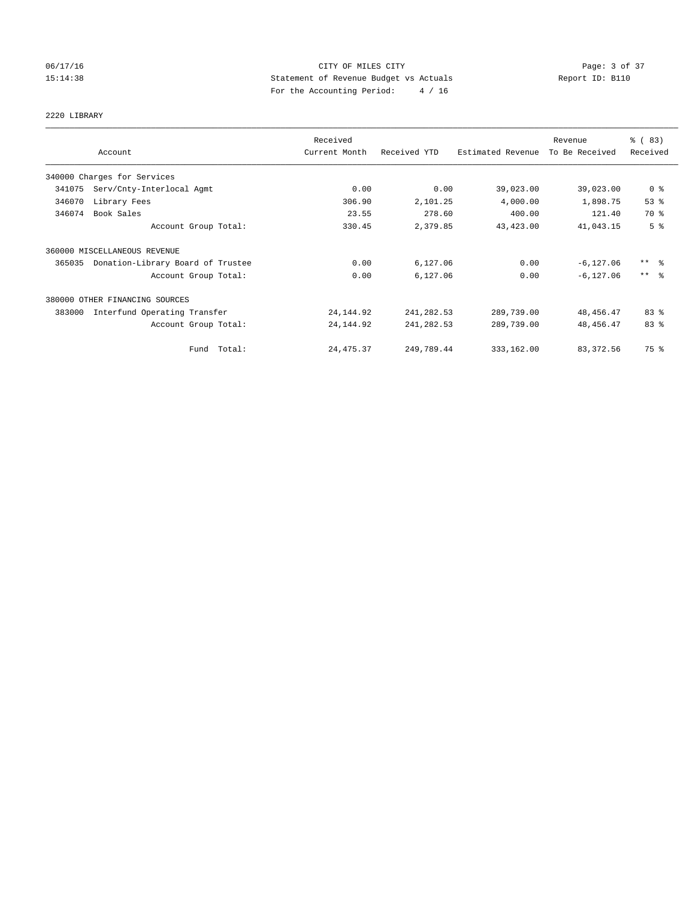## 06/17/16 CITY OF MILES CITY Page: 3 of 37 15:14:38 Statement of Revenue Budget vs Actuals Report ID: B110 For the Accounting Period: 4 / 16

# 2220 LIBRARY

|        |                                   | Received      |              |                   | Revenue        | $\frac{8}{6}$ (83)  |
|--------|-----------------------------------|---------------|--------------|-------------------|----------------|---------------------|
|        | Account                           | Current Month | Received YTD | Estimated Revenue | To Be Received | Received            |
|        | 340000 Charges for Services       |               |              |                   |                |                     |
| 341075 | Serv/Cnty-Interlocal Agmt         | 0.00          | 0.00         | 39,023.00         | 39,023.00      | 0 <sup>8</sup>      |
| 346070 | Library Fees                      | 306.90        | 2,101.25     | 4,000.00          | 1,898.75       | 53%                 |
| 346074 | Book Sales                        | 23.55         | 278.60       | 400.00            | 121.40         | 70 %                |
|        | Account Group Total:              | 330.45        | 2,379.85     | 43, 423.00        | 41,043.15      | 5 <sup>°</sup>      |
|        | 360000 MISCELLANEOUS REVENUE      |               |              |                   |                |                     |
| 365035 | Donation-Library Board of Trustee | 0.00          | 6,127.06     | 0.00              | $-6, 127.06$   | $***$ $\frac{6}{5}$ |
|        | Account Group Total:              | 0.00          | 6,127.06     | 0.00              | $-6, 127.06$   | $***$ $\approx$     |
|        | 380000 OTHER FINANCING SOURCES    |               |              |                   |                |                     |
| 383000 | Interfund Operating Transfer      | 24, 144.92    | 241, 282.53  | 289,739.00        | 48, 456.47     | 83%                 |
|        | Account Group Total:              | 24, 144.92    | 241, 282.53  | 289,739.00        | 48, 456.47     | 83 %                |
|        | Fund Total:                       | 24, 475.37    | 249,789.44   | 333,162.00        | 83, 372.56     | 75 %                |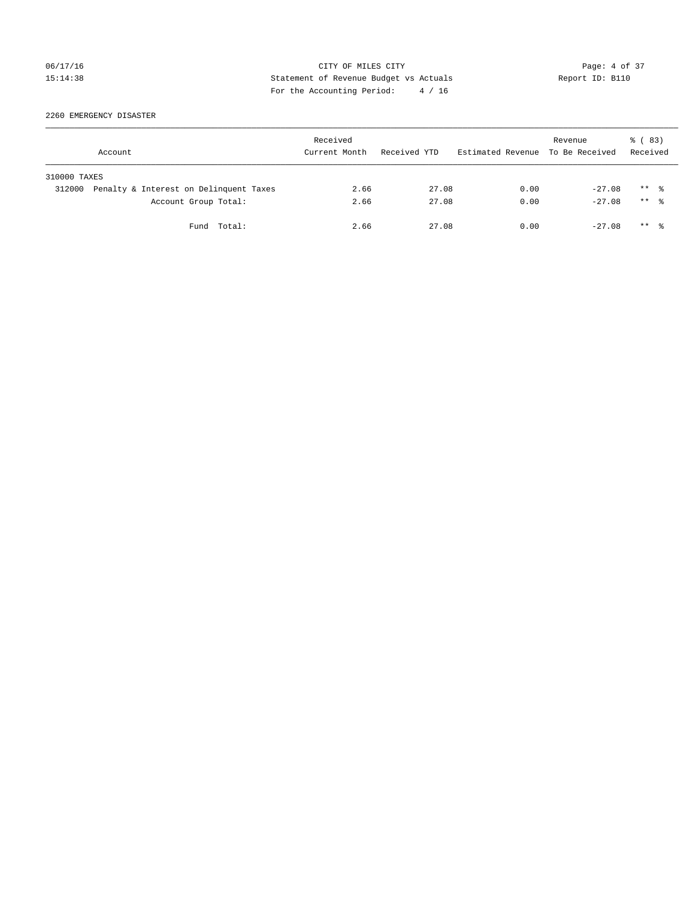## 06/17/16 CITY OF MILES CITY Page: 4 of 37 15:14:38 Statement of Revenue Budget vs Actuals Report ID: B110 For the Accounting Period: 4 / 16

2260 EMERGENCY DISASTER

|              | Account                                | Received<br>Current Month | Received YTD | Estimated Revenue To Be Received | Revenue  | 8 (83)<br>Received   |  |
|--------------|----------------------------------------|---------------------------|--------------|----------------------------------|----------|----------------------|--|
| 310000 TAXES |                                        |                           |              |                                  |          |                      |  |
| 312000       | Penalty & Interest on Delinquent Taxes | 2.66                      | 27.08        | 0.00                             | $-27.08$ | $***$ 2              |  |
|              | Account Group Total:                   | 2.66                      | 27.08        | 0.00                             | $-27.08$ | $***$ $\frac{6}{10}$ |  |
|              | Fund Total:                            | 2.66                      | 27.08        | 0.00                             | $-27.08$ | ** *                 |  |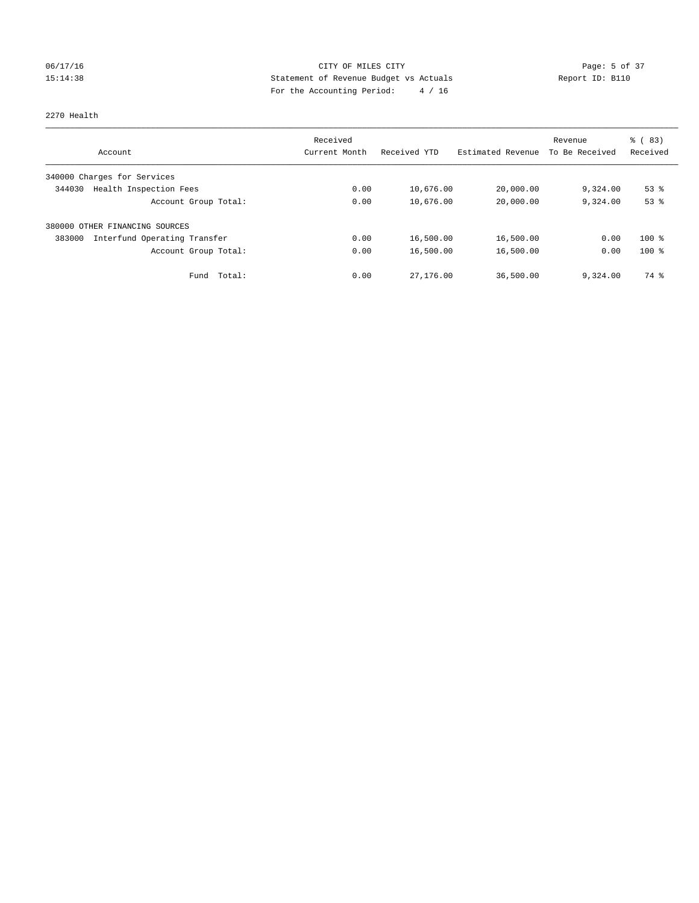## 06/17/16 CITY OF MILES CITY Page: 5 of 37 15:14:38 Statement of Revenue Budget vs Actuals Report ID: B110 For the Accounting Period: 4 / 16

#### 2270 Health

|                                        | Received      |              |                   | Revenue        | % (83)   |
|----------------------------------------|---------------|--------------|-------------------|----------------|----------|
| Account                                | Current Month | Received YTD | Estimated Revenue | To Be Received | Received |
| 340000 Charges for Services            |               |              |                   |                |          |
| Health Inspection Fees<br>344030       | 0.00          | 10,676.00    | 20,000.00         | 9,324.00       | $53$ $%$ |
| Account Group Total:                   | 0.00          | 10,676.00    | 20,000.00         | 9,324.00       | 53%      |
| 380000 OTHER FINANCING SOURCES         |               |              |                   |                |          |
| Interfund Operating Transfer<br>383000 | 0.00          | 16,500.00    | 16,500.00         | 0.00           | $100*$   |
| Account Group Total:                   | 0.00          | 16,500.00    | 16,500.00         | 0.00           | $100*$   |
| Total:<br>Fund                         | 0.00          | 27,176.00    | 36,500.00         | 9,324.00       | 74 %     |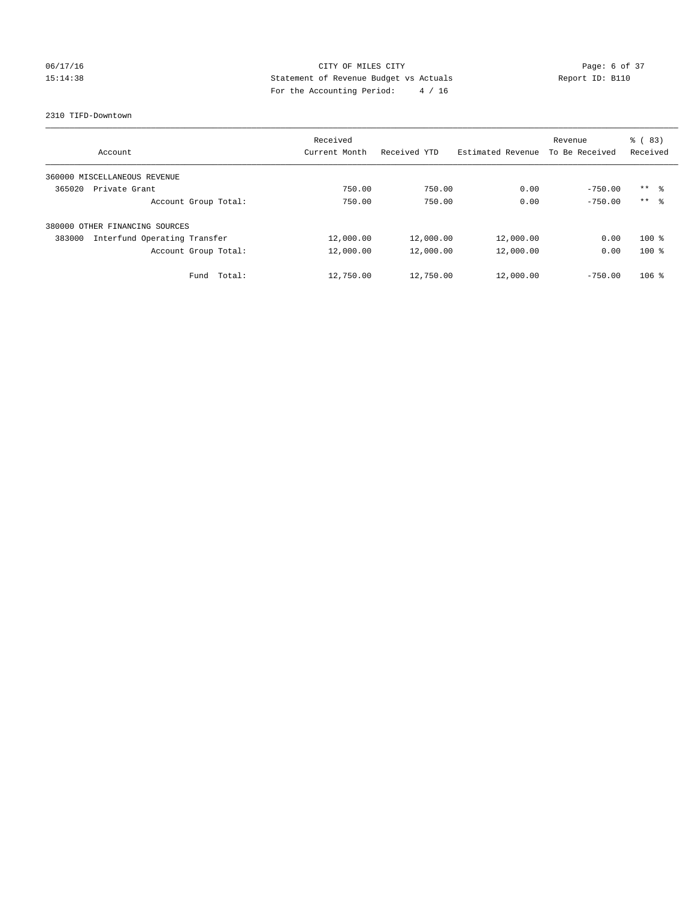## 06/17/16 CITY OF MILES CITY Page: 6 of 37 15:14:38 Statement of Revenue Budget vs Actuals Report ID: B110 For the Accounting Period: 4 / 16

#### 2310 TIFD-Downtown

| Account                                | Received<br>Current Month | Received YTD | Estimated Revenue | Revenue<br>To Be Received | % (83)<br>Received  |
|----------------------------------------|---------------------------|--------------|-------------------|---------------------------|---------------------|
|                                        |                           |              |                   |                           |                     |
| 360000 MISCELLANEOUS REVENUE           |                           |              |                   |                           |                     |
| 365020<br>Private Grant                | 750.00                    | 750.00       | 0.00              | $-750.00$                 | $***$ $\frac{6}{3}$ |
| Account Group Total:                   | 750.00                    | 750.00       | 0.00              | $-750.00$                 | $***$ $\frac{6}{3}$ |
| OTHER FINANCING SOURCES<br>380000      |                           |              |                   |                           |                     |
| Interfund Operating Transfer<br>383000 | 12,000.00                 | 12,000.00    | 12,000.00         | 0.00                      | $100*$              |
| Account Group Total:                   | 12,000.00                 | 12,000.00    | 12,000.00         | 0.00                      | $100*$              |
| Total:<br>Fund                         | 12,750.00                 | 12,750.00    | 12,000.00         | $-750.00$                 | $106$ %             |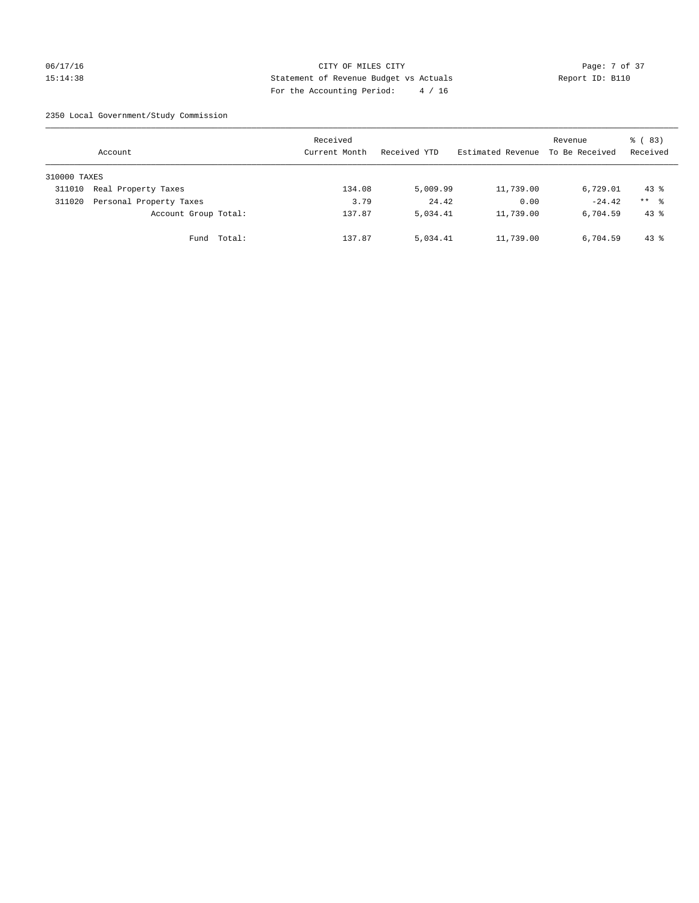## 06/17/16 CITY OF MILES CITY Page: 7 of 37 15:14:38 Statement of Revenue Budget vs Actuals Report ID: B110 For the Accounting Period: 4 / 16

2350 Local Government/Study Commission

|              | Account                 |             | Received<br>Current Month |        | Received YTD | Estimated Revenue | Revenue<br>To Be Received | 8 (83)<br>Received |
|--------------|-------------------------|-------------|---------------------------|--------|--------------|-------------------|---------------------------|--------------------|
| 310000 TAXES |                         |             |                           |        |              |                   |                           |                    |
| 311010       | Real Property Taxes     |             |                           | 134.08 | 5,009.99     | 11,739.00         | 6,729.01                  | $43*$              |
| 311020       | Personal Property Taxes |             |                           | 3.79   | 24.42        | 0.00              | $-24.42$                  | $***$ %            |
|              | Account Group Total:    |             |                           | 137.87 | 5,034.41     | 11,739.00         | 6,704.59                  | $43$ $%$           |
|              |                         | Fund Total: |                           | 137.87 | 5,034.41     | 11,739.00         | 6,704.59                  | $43*$              |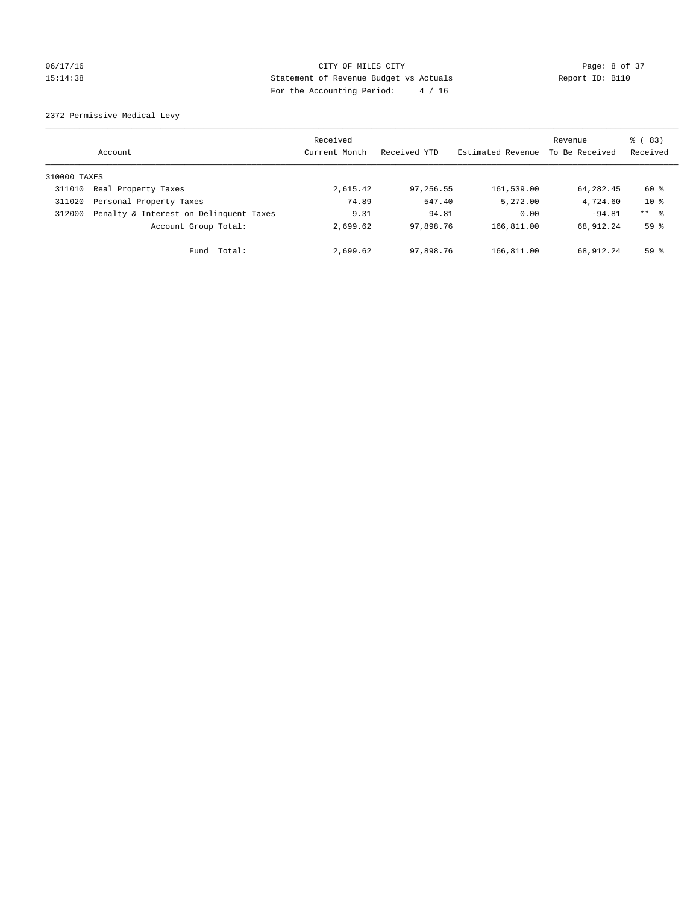## 06/17/16 CITY OF MILES CITY Page: 8 of 37 15:14:38 Statement of Revenue Budget vs Actuals Report ID: B110 For the Accounting Period: 4 / 16

2372 Permissive Medical Levy

|              | Account                                | Received<br>Current Month | Received YTD | Estimated Revenue | Revenue<br>To Be Received | $\frac{6}{6}$ (83)<br>Received |
|--------------|----------------------------------------|---------------------------|--------------|-------------------|---------------------------|--------------------------------|
| 310000 TAXES |                                        |                           |              |                   |                           |                                |
| 311010       | Real Property Taxes                    | 2,615.42                  | 97,256.55    | 161,539.00        | 64,282.45                 | 60 %                           |
| 311020       | Personal Property Taxes                | 74.89                     | 547.40       | 5,272.00          | 4,724.60                  | $10*$                          |
| 312000       | Penalty & Interest on Delinquent Taxes | 9.31                      | 94.81        | 0.00              | $-94.81$                  | $***$ $\frac{6}{5}$            |
|              | Account Group Total:                   | 2,699.62                  | 97,898.76    | 166,811.00        | 68,912.24                 | 59 <sup>°</sup>                |
|              | Fund Total:                            | 2,699.62                  | 97,898.76    | 166,811.00        | 68,912.24                 | 59 <sup>°</sup>                |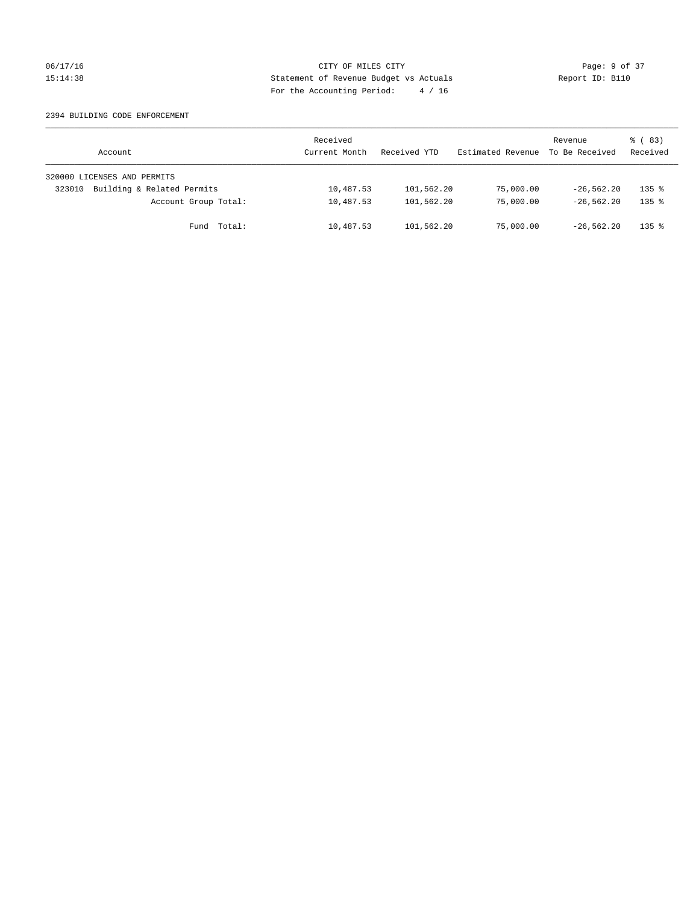## 06/17/16 CITY OF MILES CITY Page: 9 of 37 15:14:38 Statement of Revenue Budget vs Actuals Report ID: B110 For the Accounting Period: 4 / 16

#### 2394 BUILDING CODE ENFORCEMENT

| Account                              | Received<br>Current Month | Received YTD | Estimated Revenue | Revenue<br>To Be Received | 8 (83)<br>Received  |
|--------------------------------------|---------------------------|--------------|-------------------|---------------------------|---------------------|
| 320000 LICENSES AND PERMITS          |                           |              |                   |                           |                     |
| Building & Related Permits<br>323010 | 10,487.53                 | 101,562.20   | 75,000.00         | $-26.562.20$              | $135$ $%$           |
| Account Group Total:                 | 10,487.53                 | 101,562.20   | 75,000.00         | $-26.562.20$              | $135$ $%$           |
| Fund Total:                          | 10,487.53                 | 101,562.20   | 75,000.00         | $-26.562.20$              | $135$ $\frac{6}{5}$ |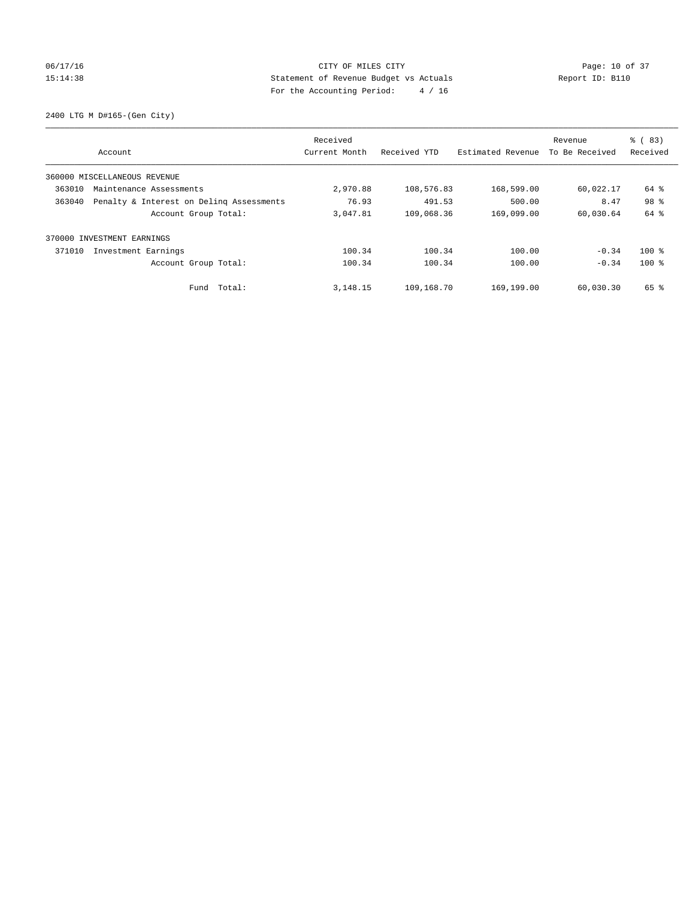## 06/17/16 Page: 10 of 37 15:14:38 Statement of Revenue Budget vs Actuals Report ID: B110 For the Accounting Period: 4 / 16

2400 LTG M D#165-(Gen City)

|        | Account                                  | Received<br>Current Month | Received YTD | Estimated Revenue | Revenue<br>To Be Received | % (83)<br>Received |
|--------|------------------------------------------|---------------------------|--------------|-------------------|---------------------------|--------------------|
|        | 360000 MISCELLANEOUS REVENUE             |                           |              |                   |                           |                    |
| 363010 | Maintenance Assessments                  | 2,970.88                  | 108,576.83   | 168,599.00        | 60,022.17                 | 64 %               |
| 363040 | Penalty & Interest on Deling Assessments | 76.93                     | 491.53       | 500.00            | 8.47                      | 98 %               |
|        | Account Group Total:                     | 3,047.81                  | 109,068.36   | 169,099.00        | 60,030.64                 | 64 %               |
|        | 370000 INVESTMENT EARNINGS               |                           |              |                   |                           |                    |
| 371010 | Investment Earnings                      | 100.34                    | 100.34       | 100.00            | $-0.34$                   | $100*$             |
|        | Account Group Total:                     | 100.34                    | 100.34       | 100.00            | $-0.34$                   | $100$ %            |
|        | Fund Total:                              | 3, 148, 15                | 109,168.70   | 169,199.00        | 60,030.30                 | 65 %               |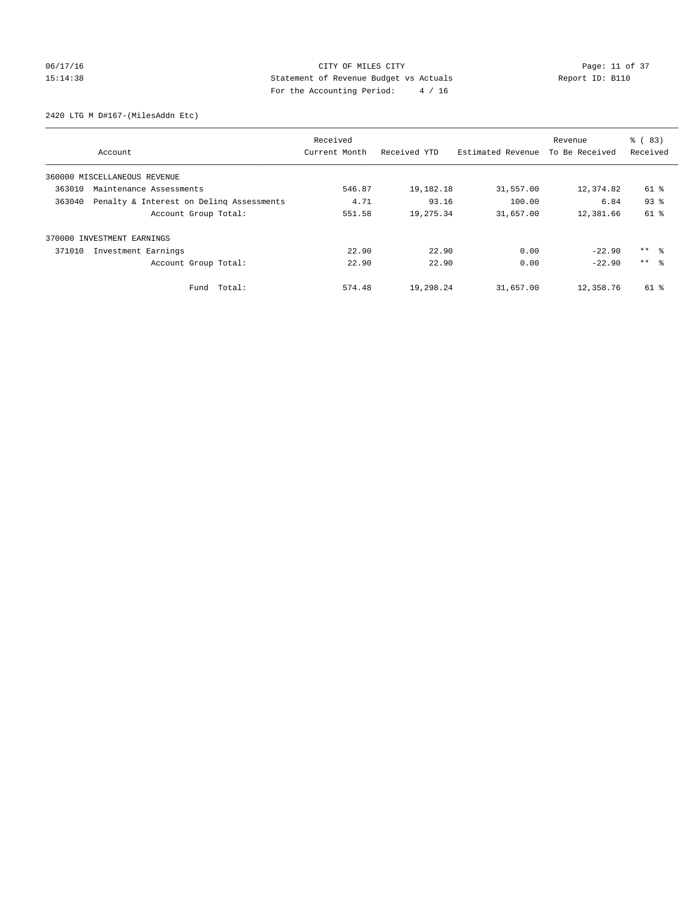## 06/17/16 Page: 11 of 37 15:14:38 Statement of Revenue Budget vs Actuals Report ID: B110 For the Accounting Period: 4 / 16

2420 LTG M D#167-(MilesAddn Etc)

|                                                    |                      | Received      |              |                   | Revenue        | % (83)              |
|----------------------------------------------------|----------------------|---------------|--------------|-------------------|----------------|---------------------|
| Account                                            |                      | Current Month | Received YTD | Estimated Revenue | To Be Received | Received            |
| 360000 MISCELLANEOUS REVENUE                       |                      |               |              |                   |                |                     |
| 363010<br>Maintenance Assessments                  |                      | 546.87        | 19,182.18    | 31,557.00         | 12,374.82      | 61 %                |
| Penalty & Interest on Deling Assessments<br>363040 |                      | 4.71          | 93.16        | 100.00            | 6.84           | 93 <sup>8</sup>     |
|                                                    | Account Group Total: | 551.58        | 19,275.34    | 31,657.00         | 12,381.66      | $61$ %              |
| INVESTMENT EARNINGS<br>370000                      |                      |               |              |                   |                |                     |
| 371010<br>Investment Earnings                      |                      | 22.90         | 22.90        | 0.00              | $-22.90$       | $***$ $\frac{6}{3}$ |
|                                                    | Account Group Total: | 22.90         | 22.90        | 0.00              | $-22.90$       | $***$ $\approx$     |
|                                                    | Fund Total:          | 574.48        | 19,298.24    | 31,657.00         | 12,358.76      | 61 %                |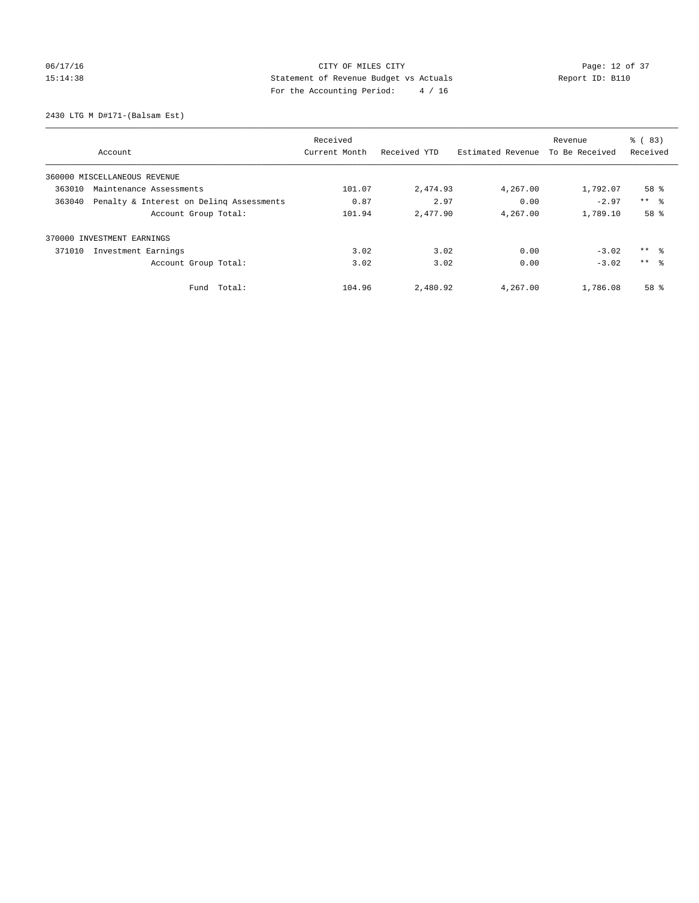## 06/17/16 Page: 12 of 37 15:14:38 Statement of Revenue Budget vs Actuals Report ID: B110 For the Accounting Period: 4 / 16

2430 LTG M D#171-(Balsam Est)

|                                                    | Received      |              |                   | Revenue        | $\frac{6}{6}$ (83) |
|----------------------------------------------------|---------------|--------------|-------------------|----------------|--------------------|
| Account                                            | Current Month | Received YTD | Estimated Revenue | To Be Received | Received           |
| 360000 MISCELLANEOUS REVENUE                       |               |              |                   |                |                    |
| 363010<br>Maintenance Assessments                  | 101.07        | 2,474.93     | 4,267.00          | 1,792.07       | 58 %               |
| 363040<br>Penalty & Interest on Deling Assessments | 0.87          | 2.97         | 0.00              | $-2.97$        | $***$ $\approx$    |
| Account Group Total:                               | 101.94        | 2,477.90     | 4,267.00          | 1,789.10       | 58 %               |
| 370000 INVESTMENT EARNINGS                         |               |              |                   |                |                    |
| Investment Earnings<br>371010                      | 3.02          | 3.02         | 0.00              | $-3.02$        | $***$ $ -$         |
| Account Group Total:                               | 3.02          | 3.02         | 0.00              | $-3.02$        | $***$ $\approx$    |
| Total:<br>Fund                                     | 104.96        | 2,480.92     | 4,267.00          | 1,786.08       | 58 %               |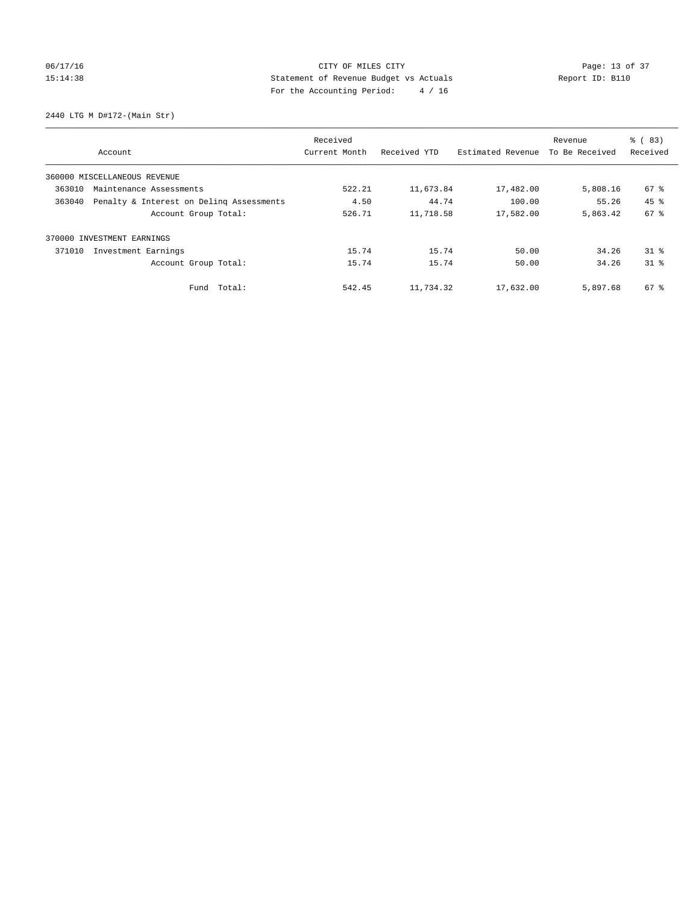## 06/17/16 Page: 13 of 37 15:14:38 Statement of Revenue Budget vs Actuals Report ID: B110 For the Accounting Period: 4 / 16

2440 LTG M D#172-(Main Str)

|                                                    | Received      |              |                   | Revenue        | % (83)          |
|----------------------------------------------------|---------------|--------------|-------------------|----------------|-----------------|
| Account                                            | Current Month | Received YTD | Estimated Revenue | To Be Received | Received        |
| 360000 MISCELLANEOUS REVENUE                       |               |              |                   |                |                 |
| 363010<br>Maintenance Assessments                  | 522.21        | 11,673.84    | 17,482.00         | 5,808.16       | 67 %            |
| Penalty & Interest on Deling Assessments<br>363040 | 4.50          | 44.74        | 100.00            | 55.26          | $45$ $%$        |
| Account Group Total:                               | 526.71        | 11,718.58    | 17,582.00         | 5,863.42       | 67 <sup>8</sup> |
| 370000 INVESTMENT EARNINGS                         |               |              |                   |                |                 |
| 371010<br>Investment Earnings                      | 15.74         | 15.74        | 50.00             | 34.26          | $31$ %          |
| Account Group Total:                               | 15.74         | 15.74        | 50.00             | 34.26          | $31$ $%$        |
| Total:<br>Fund                                     | 542.45        | 11,734.32    | 17,632.00         | 5,897.68       | 67 %            |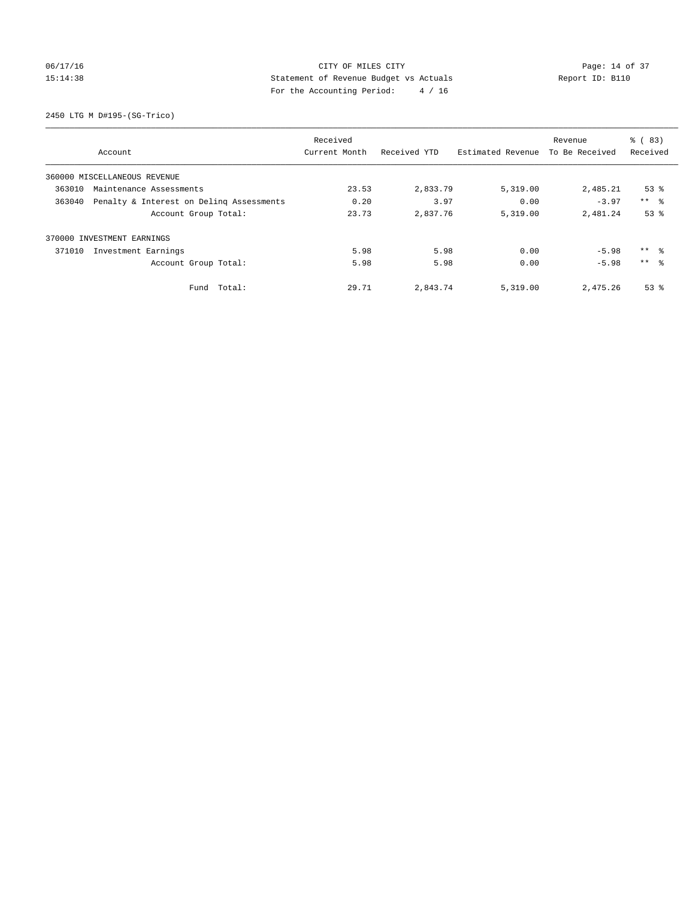## 06/17/16 Page: 14 of 37 15:14:38 Statement of Revenue Budget vs Actuals Report ID: B110 For the Accounting Period: 4 / 16

2450 LTG M D#195-(SG-Trico)

|        |                                          | Received      |              |                   | Revenue        | % (83)              |
|--------|------------------------------------------|---------------|--------------|-------------------|----------------|---------------------|
|        | Account                                  | Current Month | Received YTD | Estimated Revenue | To Be Received | Received            |
|        | 360000 MISCELLANEOUS REVENUE             |               |              |                   |                |                     |
| 363010 | Maintenance Assessments                  | 23.53         | 2,833.79     | 5,319.00          | 2,485.21       | $53$ $%$            |
| 363040 | Penalty & Interest on Deling Assessments | 0.20          | 3.97         | 0.00              | $-3.97$        | $***$ $ -$          |
|        | Account Group Total:                     | 23.73         | 2,837.76     | 5,319.00          | 2,481.24       | 53%                 |
|        | 370000 INVESTMENT EARNINGS               |               |              |                   |                |                     |
| 371010 | Investment Earnings                      | 5.98          | 5.98         | 0.00              | $-5.98$        | $***$ $\frac{6}{3}$ |
|        | Account Group Total:                     | 5.98          | 5.98         | 0.00              | $-5.98$        | $***$ $\approx$     |
|        | Fund Total:                              | 29.71         | 2,843.74     | 5,319.00          | 2,475.26       | $53$ $%$            |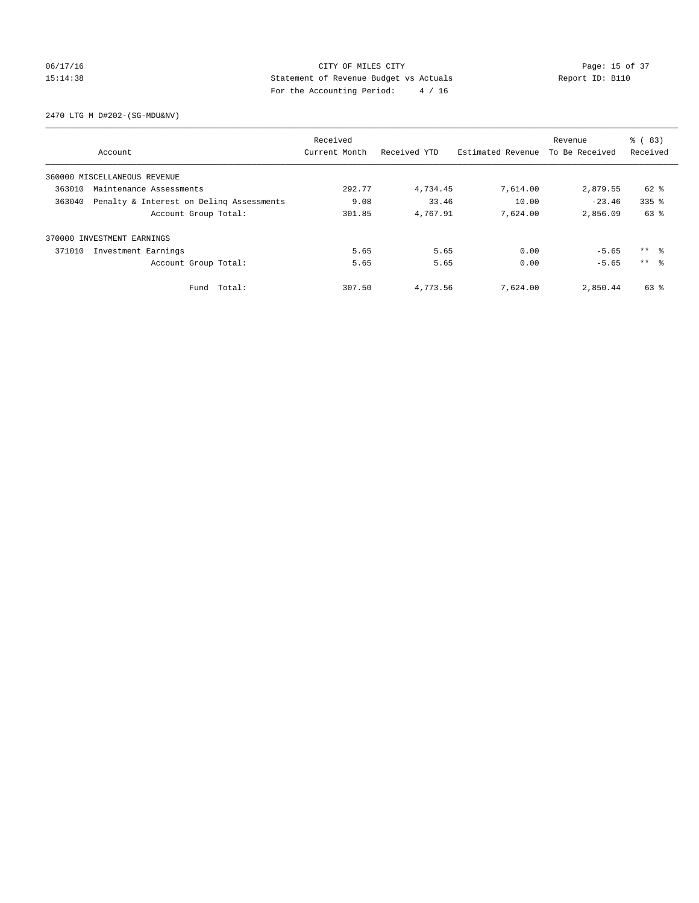## 06/17/16 Page: 15 of 37 15:14:38 Statement of Revenue Budget vs Actuals Report ID: B110 For the Accounting Period: 4 / 16

2470 LTG M D#202-(SG-MDU&NV)

|        |                                          | Received      |              |                   | Revenue        | % (83)          |
|--------|------------------------------------------|---------------|--------------|-------------------|----------------|-----------------|
|        | Account                                  | Current Month | Received YTD | Estimated Revenue | To Be Received | Received        |
|        | 360000 MISCELLANEOUS REVENUE             |               |              |                   |                |                 |
| 363010 | Maintenance Assessments                  | 292.77        | 4,734.45     | 7,614.00          | 2,879.55       | 62 %            |
| 363040 | Penalty & Interest on Deling Assessments | 9.08          | 33.46        | 10.00             | $-23.46$       | $335$ $%$       |
|        | Account Group Total:                     | 301.85        | 4,767.91     | 7,624.00          | 2,856.09       | 63 %            |
|        | 370000 INVESTMENT EARNINGS               |               |              |                   |                |                 |
| 371010 | Investment Earnings                      | 5.65          | 5.65         | 0.00              | $-5.65$        | $***$ $ -$      |
|        | Account Group Total:                     | 5.65          | 5.65         | 0.00              | $-5.65$        | $***$ $\approx$ |
|        | Fund Total:                              | 307.50        | 4,773.56     | 7,624.00          | 2,850.44       | 63 %            |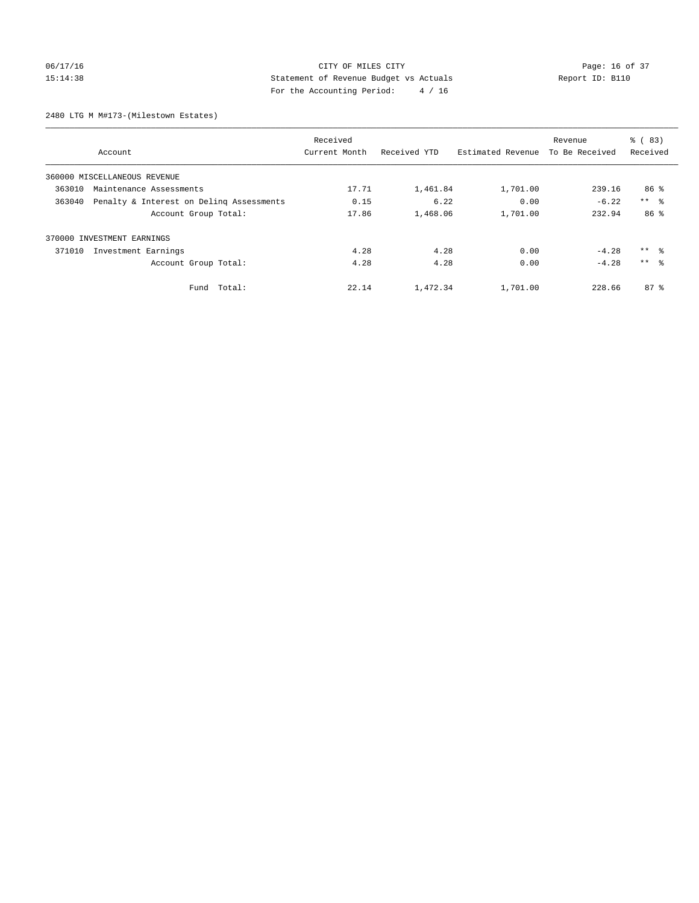## 06/17/16 Page: 16 of 37 15:14:38 Statement of Revenue Budget vs Actuals Report ID: B110 For the Accounting Period: 4 / 16

2480 LTG M M#173-(Milestown Estates)

|        |                                          | Received      |              |                   | Revenue        | % (83)              |
|--------|------------------------------------------|---------------|--------------|-------------------|----------------|---------------------|
|        | Account                                  | Current Month | Received YTD | Estimated Revenue | To Be Received | Received            |
|        | 360000 MISCELLANEOUS REVENUE             |               |              |                   |                |                     |
| 363010 | Maintenance Assessments                  | 17.71         | 1,461.84     | 1,701.00          | 239.16         | 86 %                |
| 363040 | Penalty & Interest on Deling Assessments | 0.15          | 6.22         | 0.00              | $-6.22$        | $***$ $ -$          |
|        | Account Group Total:                     | 17.86         | 1,468.06     | 1,701.00          | 232.94         | 86 %                |
|        | 370000 INVESTMENT EARNINGS               |               |              |                   |                |                     |
| 371010 | Investment Earnings                      | 4.28          | 4.28         | 0.00              | $-4.28$        | $***$ $\frac{6}{3}$ |
|        | Account Group Total:                     | 4.28          | 4.28         | 0.00              | $-4.28$        | $***$ $\approx$     |
|        | Fund Total:                              | 22.14         | 1,472.34     | 1,701.00          | 228.66         | $87*$               |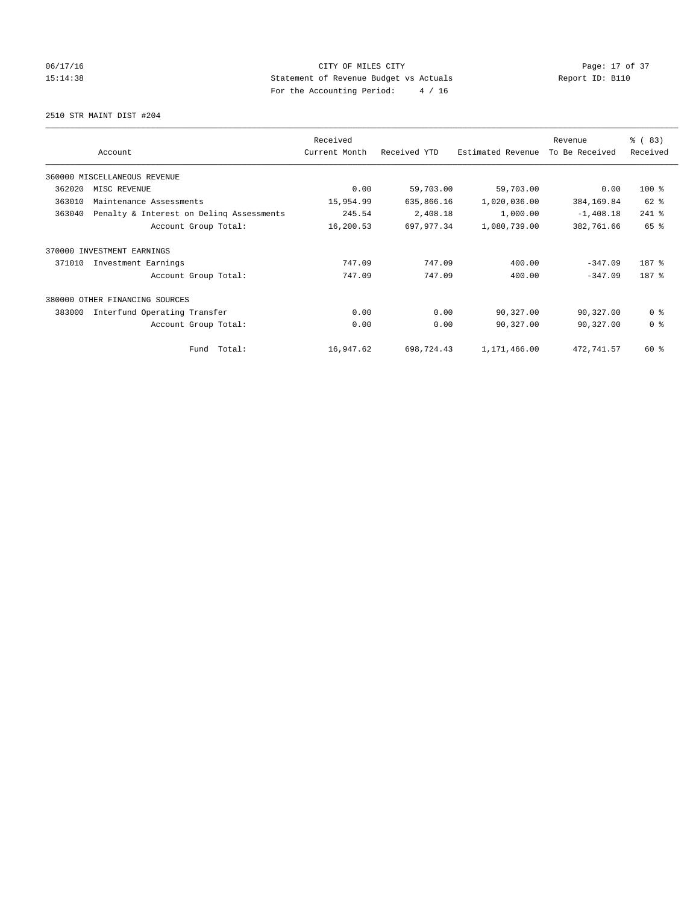## 06/17/16 Page: 17 of 37 15:14:38 Statement of Revenue Budget vs Actuals Report ID: B110 For the Accounting Period: 4 / 16

2510 STR MAINT DIST #204

|        |                                          | Received      |              |                   | Revenue        | % (83)         |
|--------|------------------------------------------|---------------|--------------|-------------------|----------------|----------------|
|        | Account                                  | Current Month | Received YTD | Estimated Revenue | To Be Received | Received       |
|        | 360000 MISCELLANEOUS REVENUE             |               |              |                   |                |                |
| 362020 | MISC REVENUE                             | 0.00          | 59,703.00    | 59,703.00         | 0.00           | 100 %          |
| 363010 | Maintenance Assessments                  | 15,954.99     | 635,866.16   | 1,020,036.00      | 384, 169.84    | 62 %           |
| 363040 | Penalty & Interest on Deling Assessments | 245.54        | 2,408.18     | 1,000.00          | $-1,408.18$    | 241 %          |
|        | Account Group Total:                     | 16,200.53     | 697, 977.34  | 1,080,739.00      | 382,761.66     | 65 %           |
| 370000 | INVESTMENT EARNINGS                      |               |              |                   |                |                |
| 371010 | Investment Earnings                      | 747.09        | 747.09       | 400.00            | $-347.09$      | 187 %          |
|        | Account Group Total:                     | 747.09        | 747.09       | 400.00            | $-347.09$      | 187 %          |
| 380000 | OTHER FINANCING SOURCES                  |               |              |                   |                |                |
| 383000 | Interfund Operating Transfer             | 0.00          | 0.00         | 90,327.00         | 90,327.00      | 0 <sup>8</sup> |
|        | Account Group Total:                     | 0.00          | 0.00         | 90,327.00         | 90,327.00      | 0 <sup>8</sup> |
|        | Total:<br>Fund                           | 16,947.62     | 698,724.43   | 1,171,466.00      | 472,741.57     | 60 %           |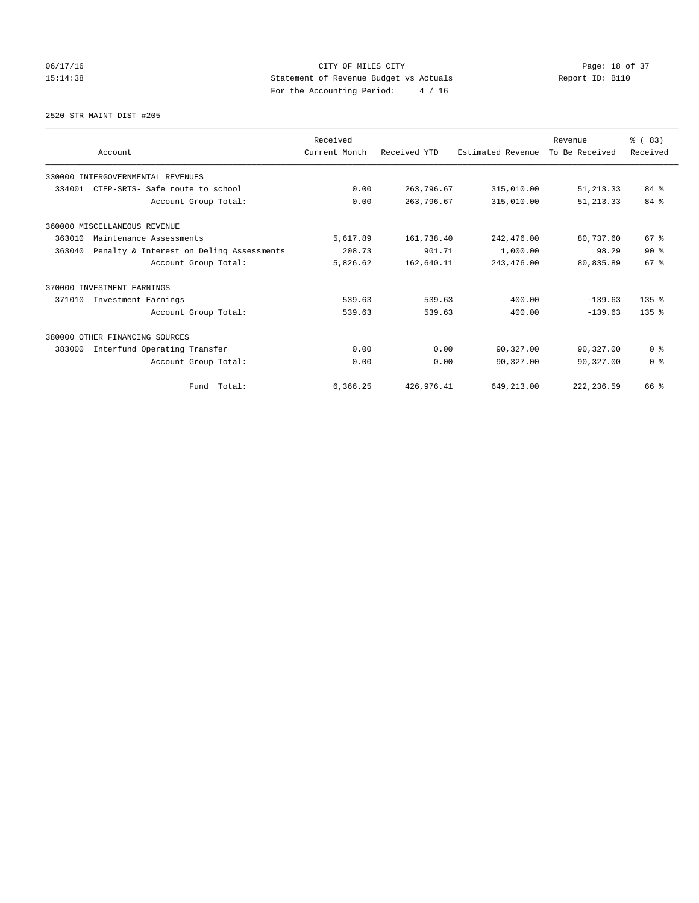## 06/17/16 Page: 18 of 37 15:14:38 Statement of Revenue Budget vs Actuals Report ID: B110 For the Accounting Period: 4 / 16

2520 STR MAINT DIST #205

|        |                                          | Received      |              |                   | Revenue        | % (83)           |
|--------|------------------------------------------|---------------|--------------|-------------------|----------------|------------------|
|        | Account                                  | Current Month | Received YTD | Estimated Revenue | To Be Received | Received         |
|        | 330000 INTERGOVERNMENTAL REVENUES        |               |              |                   |                |                  |
| 334001 | CTEP-SRTS- Safe route to school          | 0.00          | 263,796.67   | 315,010.00        | 51, 213.33     | 84%              |
|        | Account Group Total:                     | 0.00          | 263,796.67   | 315,010.00        | 51, 213.33     | 84 %             |
|        | 360000 MISCELLANEOUS REVENUE             |               |              |                   |                |                  |
| 363010 | Maintenance Assessments                  | 5,617.89      | 161,738.40   | 242,476.00        | 80,737.60      | 67 %             |
| 363040 | Penalty & Interest on Deling Assessments | 208.73        | 901.71       | 1,000.00          | 98.29          | 90%              |
|        | Account Group Total:                     | 5,826.62      | 162,640.11   | 243, 476.00       | 80,835.89      | 67 <sup>8</sup>  |
|        | 370000 INVESTMENT EARNINGS               |               |              |                   |                |                  |
| 371010 | Investment Earnings                      | 539.63        | 539.63       | 400.00            | $-139.63$      | 135 <sub>8</sub> |
|        | Account Group Total:                     | 539.63        | 539.63       | 400.00            | $-139.63$      | 135 <sub>8</sub> |
|        | 380000 OTHER FINANCING SOURCES           |               |              |                   |                |                  |
| 383000 | Interfund Operating Transfer             | 0.00          | 0.00         | 90,327.00         | 90,327.00      | 0 <sup>8</sup>   |
|        | Account Group Total:                     | 0.00          | 0.00         | 90,327.00         | 90,327.00      | 0 <sup>8</sup>   |
|        | Fund Total:                              | 6,366.25      | 426,976.41   | 649,213.00        | 222, 236.59    | 66 %             |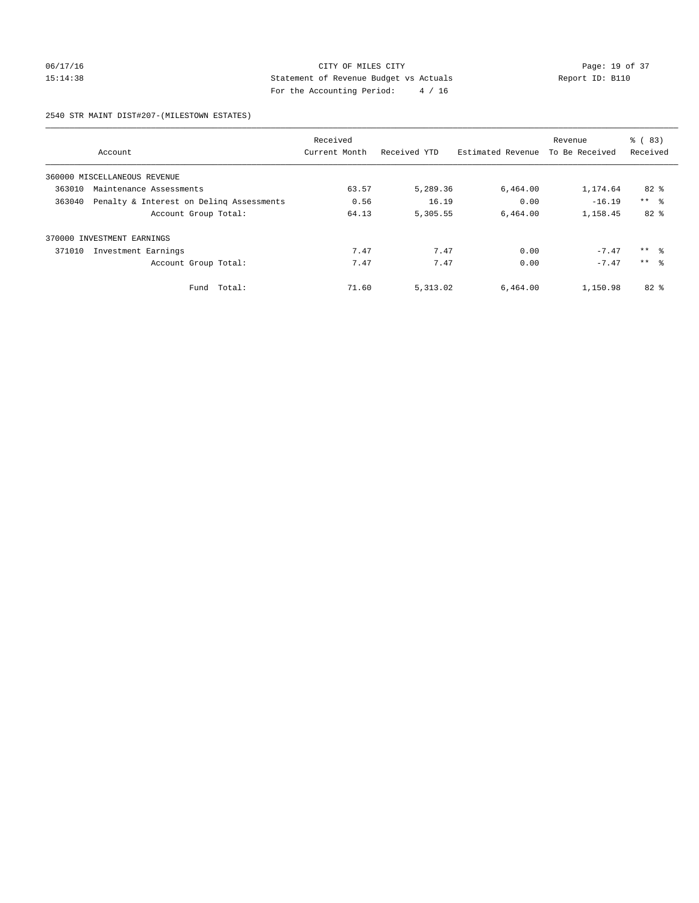## 06/17/16 Page: 19 of 37 15:14:38 Statement of Revenue Budget vs Actuals Report ID: B110 For the Accounting Period: 4 / 16

#### 2540 STR MAINT DIST#207-(MILESTOWN ESTATES)

|        |                                          | Received      |              |                   | Revenue        | $\frac{6}{6}$ (83) |
|--------|------------------------------------------|---------------|--------------|-------------------|----------------|--------------------|
|        | Account                                  | Current Month | Received YTD | Estimated Revenue | To Be Received | Received           |
|        | 360000 MISCELLANEOUS REVENUE             |               |              |                   |                |                    |
| 363010 | Maintenance Assessments                  | 63.57         | 5,289.36     | 6,464.00          | 1,174.64       | $82*$              |
| 363040 | Penalty & Interest on Deling Assessments | 0.56          | 16.19        | 0.00              | $-16.19$       | $***$ $\approx$    |
|        | Account Group Total:                     | 64.13         | 5,305.55     | 6.464.00          | 1,158.45       | $82*$              |
| 370000 | INVESTMENT EARNINGS                      |               |              |                   |                |                    |
| 371010 | Investment Earnings                      | 7.47          | 7.47         | 0.00              | $-7.47$        | ** 왕               |
|        | Account Group Total:                     | 7.47          | 7.47         | 0.00              | $-7.47$        | $***$ $\approx$    |
|        | Fund Total:                              | 71.60         | 5, 313.02    | 6,464.00          | 1,150.98       | $82*$              |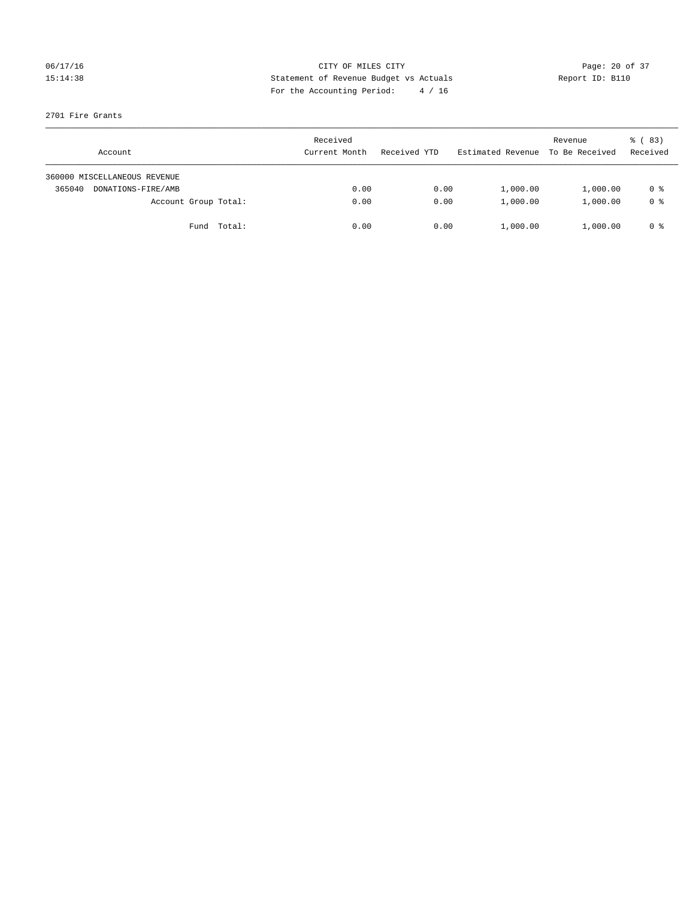## 06/17/16 Page: 20 of 37 15:14:38 Statement of Revenue Budget vs Actuals Report ID: B110 For the Accounting Period: 4 / 16

#### 2701 Fire Grants

| Account                      | Received<br>Current Month | Received YTD | Estimated Revenue | Revenue<br>To Be Received | 8 (83)<br>Received |
|------------------------------|---------------------------|--------------|-------------------|---------------------------|--------------------|
| 360000 MISCELLANEOUS REVENUE |                           |              |                   |                           |                    |
| 365040<br>DONATIONS-FIRE/AMB | 0.00                      | 0.00         | 1,000.00          | 1,000.00                  | 0 %                |
| Account Group Total:         | 0.00                      | 0.00         | 1,000.00          | 1,000.00                  | 0 %                |
| Fund Total:                  | 0.00                      | 0.00         | 1,000.00          | 1,000.00                  | 0 %                |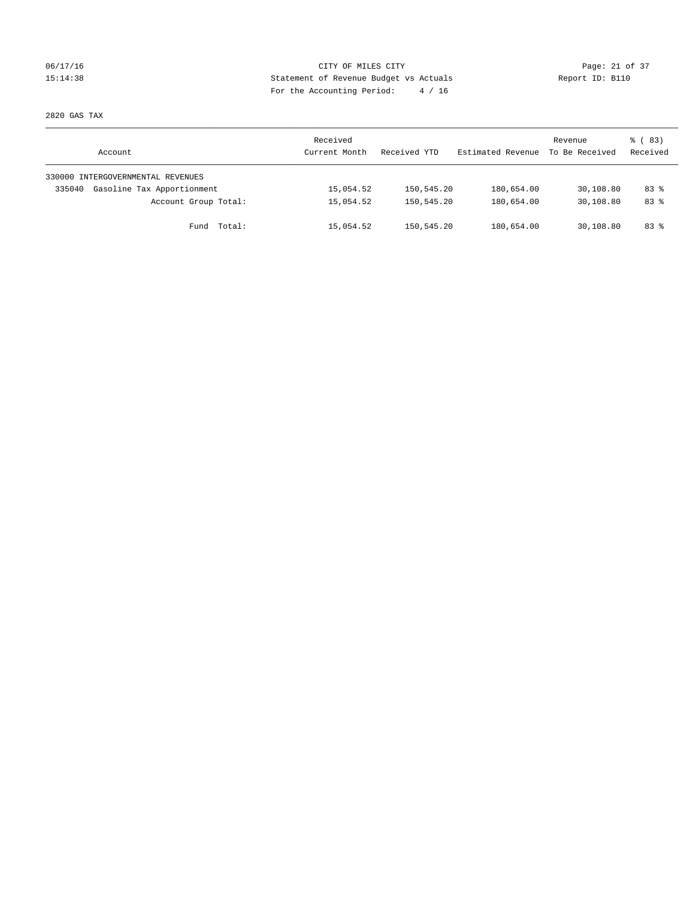## 06/17/16 Page: 21 of 37 15:14:38 Statement of Revenue Budget vs Actuals Report ID: B110 For the Accounting Period: 4 / 16

2820 GAS TAX

| Account                              | Received<br>Current Month | Received YTD | Estimated Revenue | Revenue<br>To Be Received | 8 (83)<br>Received |
|--------------------------------------|---------------------------|--------------|-------------------|---------------------------|--------------------|
| 330000 INTERGOVERNMENTAL REVENUES    |                           |              |                   |                           |                    |
| Gasoline Tax Apportionment<br>335040 | 15,054.52                 | 150,545.20   | 180,654.00        | 30,108.80                 | $83*$              |
| Account Group Total:                 | 15,054.52                 | 150,545.20   | 180,654.00        | 30,108.80                 | $83*$              |
| Total:<br>Fund                       | 15,054.52                 | 150,545.20   | 180,654.00        | 30,108.80                 | $83*$              |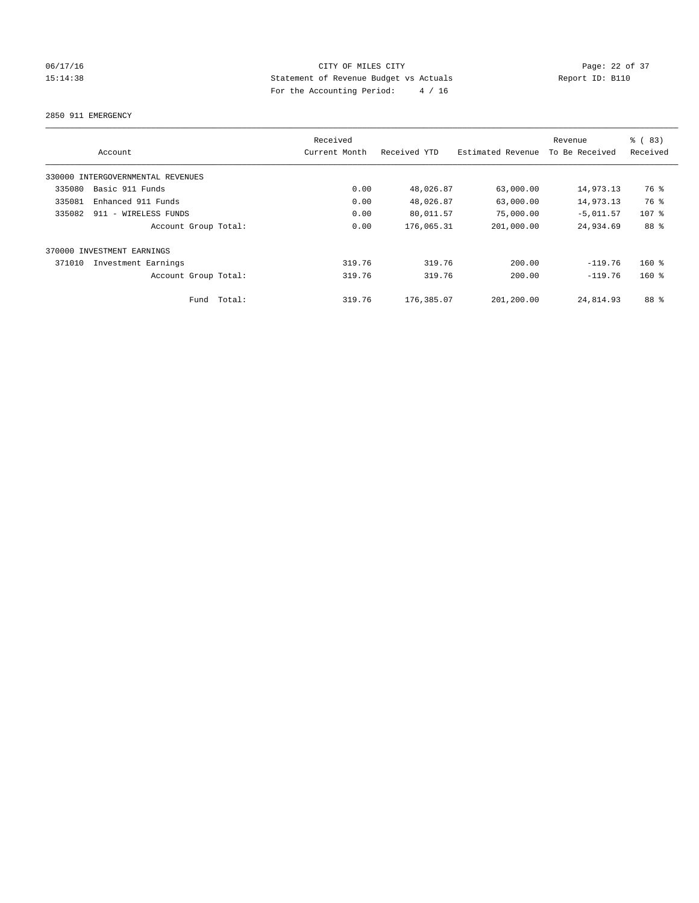## 06/17/16 Page: 22 of 37 15:14:38 Statement of Revenue Budget vs Actuals Report ID: B110 For the Accounting Period: 4 / 16

2850 911 EMERGENCY

|        | Account                           |        | Received<br>Current Month | Received YTD | Estimated Revenue | Revenue<br>To Be Received | % (83)<br>Received |
|--------|-----------------------------------|--------|---------------------------|--------------|-------------------|---------------------------|--------------------|
|        | 330000 INTERGOVERNMENTAL REVENUES |        |                           |              |                   |                           |                    |
| 335080 | Basic 911 Funds                   |        | 0.00                      | 48,026.87    | 63,000.00         | 14,973.13                 | 76 %               |
| 335081 | Enhanced 911 Funds                |        | 0.00                      | 48,026.87    | 63,000.00         | 14,973.13                 | 76 %               |
| 335082 | 911 - WIRELESS FUNDS              |        | 0.00                      | 80,011.57    | 75,000.00         | $-5,011.57$               | $107$ %            |
|        | Account Group Total:              |        | 0.00                      | 176,065.31   | 201,000.00        | 24,934.69                 | 88 %               |
|        | 370000 INVESTMENT EARNINGS        |        |                           |              |                   |                           |                    |
| 371010 | Investment Earnings               |        | 319.76                    | 319.76       | 200.00            | $-119.76$                 | $160*$             |
|        | Account Group Total:              |        | 319.76                    | 319.76       | 200.00            | $-119.76$                 | $160*$             |
|        | Fund                              | Total: | 319.76                    | 176,385.07   | 201,200.00        | 24,814.93                 | 88 %               |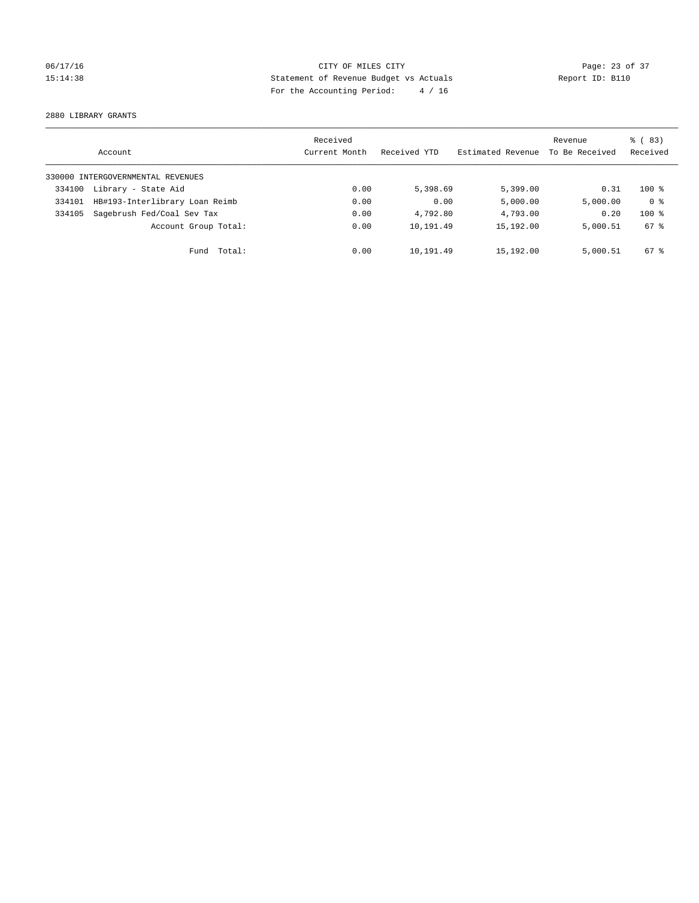## 06/17/16 Page: 23 of 37 15:14:38 Statement of Revenue Budget vs Actuals Report ID: B110 For the Accounting Period: 4 / 16

2880 LIBRARY GRANTS

|        | Account                           | Received<br>Current Month | Received YTD | Estimated Revenue | Revenue<br>To Be Received | % (83)<br>Received |
|--------|-----------------------------------|---------------------------|--------------|-------------------|---------------------------|--------------------|
|        | 330000 INTERGOVERNMENTAL REVENUES |                           |              |                   |                           |                    |
| 334100 | Library - State Aid               | 0.00                      | 5,398.69     | 5,399.00          | 0.31                      | $100*$             |
| 334101 | HB#193-Interlibrary Loan Reimb    | 0.00                      | 0.00         | 5,000.00          | 5,000.00                  | 0 <sup>8</sup>     |
| 334105 | Sagebrush Fed/Coal Sev Tax        | 0.00                      | 4,792.80     | 4,793.00          | 0.20                      | $100*$             |
|        | Account Group Total:              | 0.00                      | 10,191.49    | 15,192.00         | 5,000.51                  | 67 %               |
|        | Fund Total:                       | 0.00                      | 10,191.49    | 15,192.00         | 5,000.51                  | $67*$              |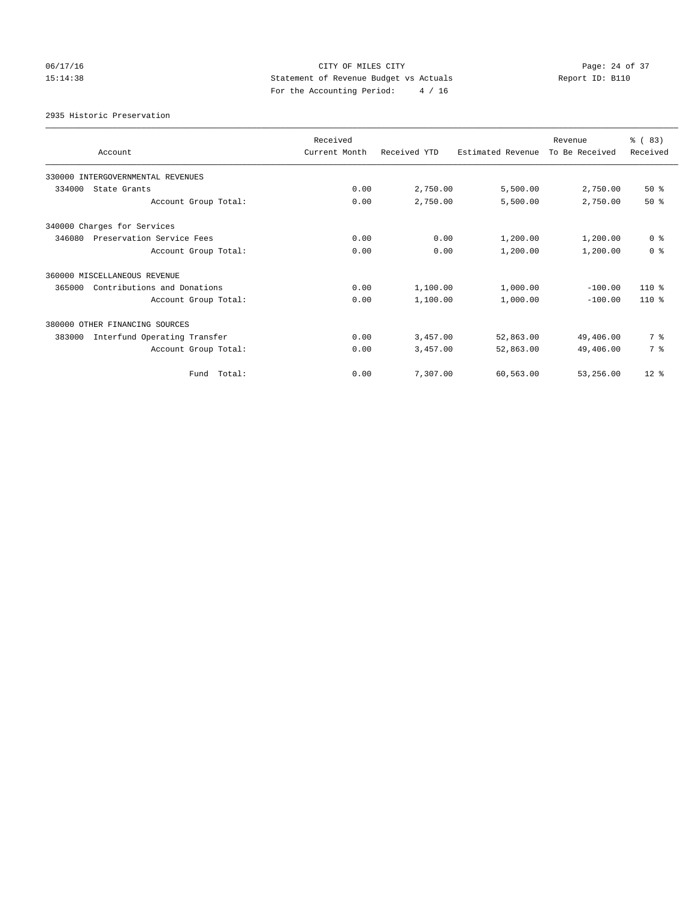## 06/17/16 Page: 24 of 37 15:14:38 Statement of Revenue Budget vs Actuals Report ID: B110 For the Accounting Period: 4 / 16

2935 Historic Preservation

| Account                                | Received<br>Current Month | Received YTD | Estimated Revenue | Revenue<br>To Be Received | % (83)<br>Received |
|----------------------------------------|---------------------------|--------------|-------------------|---------------------------|--------------------|
| 330000 INTERGOVERNMENTAL REVENUES      |                           |              |                   |                           |                    |
| 334000<br>State Grants                 | 0.00                      | 2,750.00     | 5,500.00          | 2,750.00                  | 50%                |
| Account Group Total:                   | 0.00                      | 2,750.00     | 5,500.00          | 2,750.00                  | $50*$              |
| 340000 Charges for Services            |                           |              |                   |                           |                    |
| 346080<br>Preservation Service Fees    | 0.00                      | 0.00         | 1,200.00          | 1,200.00                  | 0 <sup>8</sup>     |
| Account Group Total:                   | 0.00                      | 0.00         | 1,200.00          | 1,200.00                  | 0 <sup>8</sup>     |
| 360000 MISCELLANEOUS REVENUE           |                           |              |                   |                           |                    |
| Contributions and Donations<br>365000  | 0.00                      | 1,100.00     | 1,000.00          | $-100.00$                 | $110*$             |
| Account Group Total:                   | 0.00                      | 1,100.00     | 1,000.00          | $-100.00$                 | $110*$             |
| 380000 OTHER FINANCING SOURCES         |                           |              |                   |                           |                    |
| Interfund Operating Transfer<br>383000 | 0.00                      | 3,457.00     | 52,863.00         | 49,406.00                 | 7 %                |
| Account Group Total:                   | 0.00                      | 3,457.00     | 52,863.00         | 49,406.00                 | 7 %                |
| Fund Total:                            | 0.00                      | 7.307.00     | 60,563.00         | 53,256.00                 | $12*$              |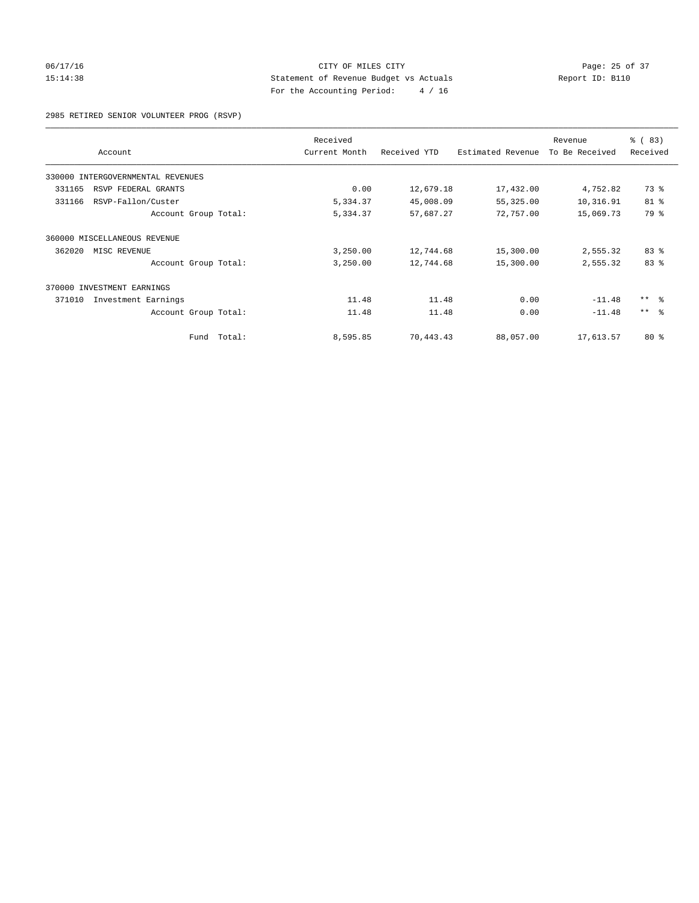## 06/17/16 Page: 25 of 37 15:14:38 Statement of Revenue Budget vs Actuals Report ID: B110 For the Accounting Period: 4 / 16

2985 RETIRED SENIOR VOLUNTEER PROG (RSVP)

| Account                           | Received<br>Current Month | Received YTD | Estimated Revenue | Revenue<br>To Be Received | % (83)<br>Received |
|-----------------------------------|---------------------------|--------------|-------------------|---------------------------|--------------------|
| 330000 INTERGOVERNMENTAL REVENUES |                           |              |                   |                           |                    |
| RSVP FEDERAL GRANTS<br>331165     | 0.00                      | 12,679.18    | 17,432.00         | 4,752.82                  | 73 %               |
| 331166<br>RSVP-Fallon/Custer      | 5,334.37                  | 45,008.09    | 55,325.00         | 10,316.91                 | 81 %               |
| Account Group Total:              | 5,334.37                  | 57,687.27    | 72,757.00         | 15,069.73                 | 79 %               |
| 360000 MISCELLANEOUS REVENUE      |                           |              |                   |                           |                    |
| 362020<br>MISC REVENUE            | 3,250.00                  | 12,744.68    | 15,300.00         | 2,555.32                  | 83%                |
| Account Group Total:              | 3,250.00                  | 12,744.68    | 15,300.00         | 2,555.32                  | 83 %               |
| 370000 INVESTMENT EARNINGS        |                           |              |                   |                           |                    |
| 371010<br>Investment Earnings     | 11.48                     | 11.48        | 0.00              | $-11.48$                  | $***$ $ -$         |
| Account Group Total:              | 11.48                     | 11.48        | 0.00              | $-11.48$                  | $***$ $ -$         |
| Total:<br>Fund                    | 8,595.85                  | 70,443.43    | 88,057.00         | 17,613.57                 | $80*$              |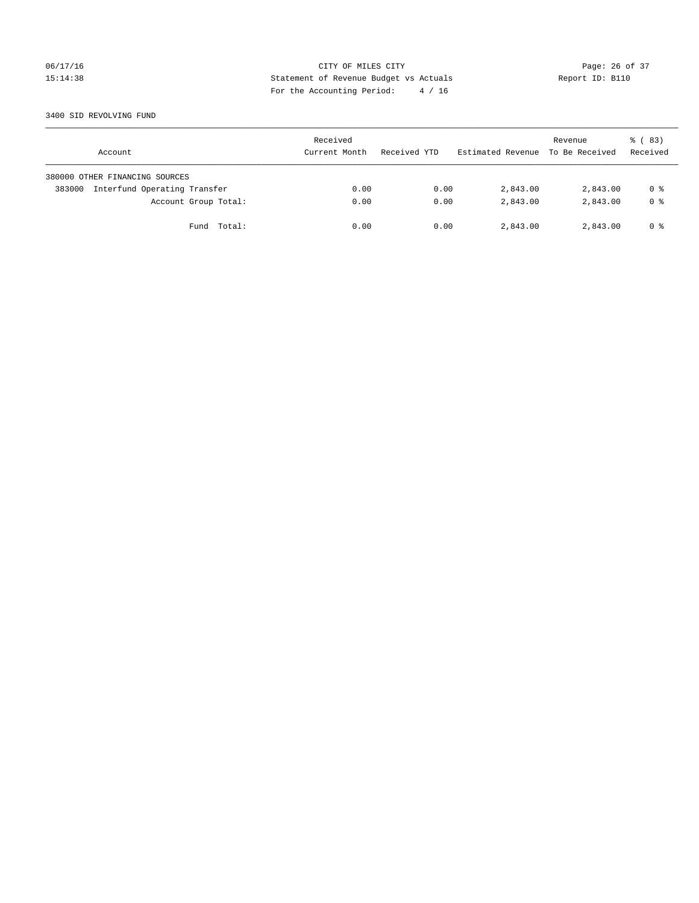## 06/17/16 Page: 26 of 37 15:14:38 Statement of Revenue Budget vs Actuals Report ID: B110 For the Accounting Period: 4 / 16

#### 3400 SID REVOLVING FUND

| Account                                | Received<br>Current Month | Received YTD | Estimated Revenue | Revenue<br>To Be Received | 8 (83)<br>Received |
|----------------------------------------|---------------------------|--------------|-------------------|---------------------------|--------------------|
| 380000 OTHER FINANCING SOURCES         |                           |              |                   |                           |                    |
| Interfund Operating Transfer<br>383000 | 0.00                      | 0.00         | 2,843.00          | 2,843.00                  | 0 %                |
| Account Group Total:                   | 0.00                      | 0.00         | 2,843.00          | 2,843.00                  | 0 <sup>8</sup>     |
| Fund Total:                            | 0.00                      | 0.00         | 2,843.00          | 2,843.00                  | 0 %                |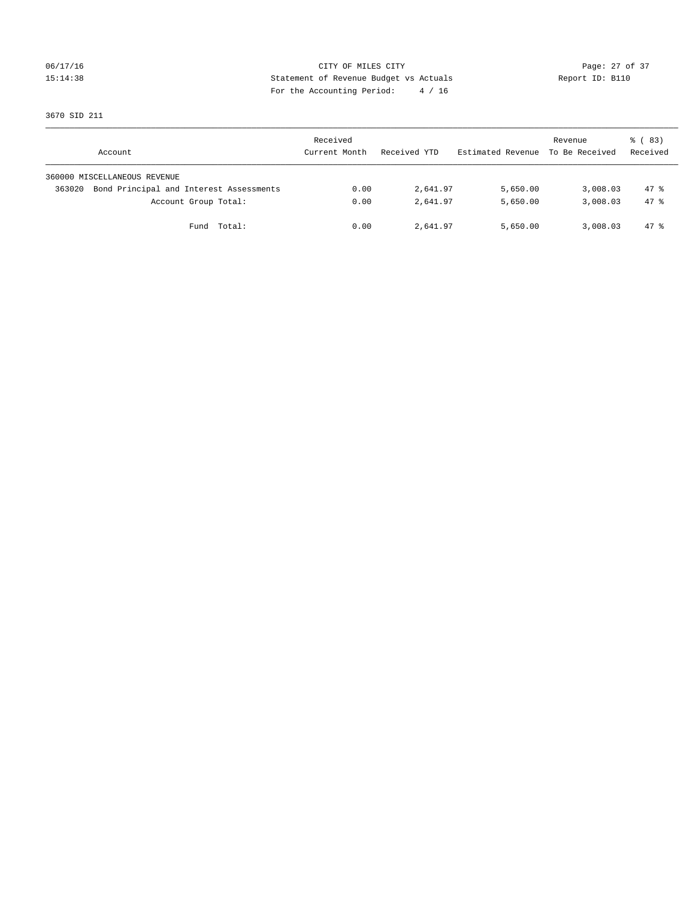## 06/17/16 Page: 27 of 37 15:14:38 Statement of Revenue Budget vs Actuals Report ID: B110 For the Accounting Period: 4 / 16

3670 SID 211

| Account                                           | Received<br>Current Month | Received YTD | Estimated Revenue | Revenue<br>To Be Received | 8 (83)<br>Received |
|---------------------------------------------------|---------------------------|--------------|-------------------|---------------------------|--------------------|
| 360000 MISCELLANEOUS REVENUE                      |                           |              |                   |                           |                    |
| Bond Principal and Interest Assessments<br>363020 | 0.00                      | 2,641.97     | 5,650.00          | 3,008.03                  | $47*$              |
| Account Group Total:                              | 0.00                      | 2,641.97     | 5,650.00          | 3,008.03                  | $47*$              |
| Fund Total:                                       | 0.00                      | 2,641.97     | 5,650.00          | 3,008.03                  | 47 %               |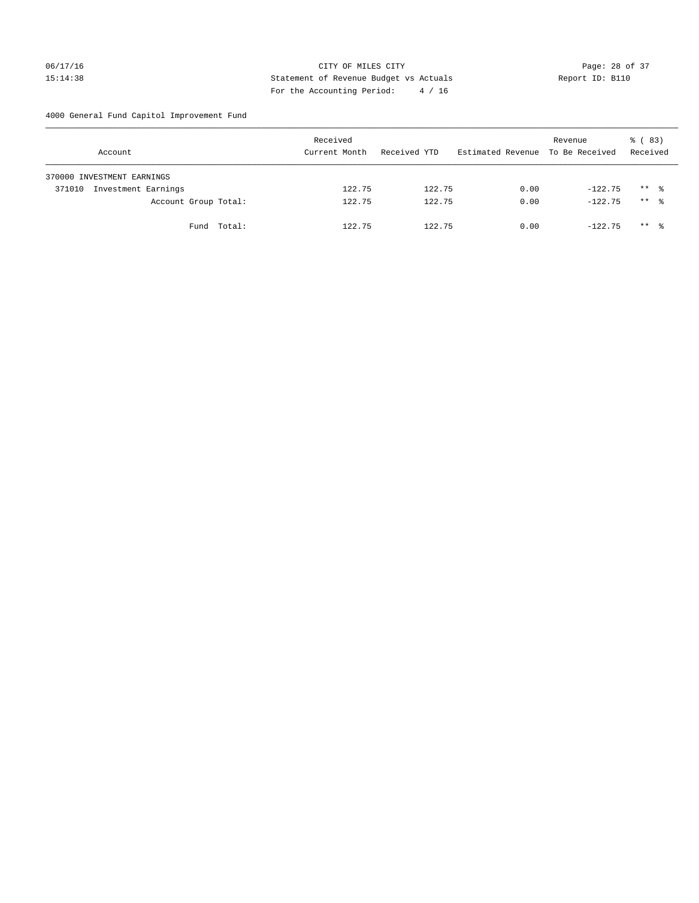## 06/17/16 Page: 28 of 37 15:14:38 Statement of Revenue Budget vs Actuals Report ID: B110 For the Accounting Period: 4 / 16

4000 General Fund Capitol Improvement Fund

| Account                       | Received<br>Current Month | Received YTD | Estimated Revenue To Be Received | Revenue   | % (83)<br>Received |
|-------------------------------|---------------------------|--------------|----------------------------------|-----------|--------------------|
| 370000 INVESTMENT EARNINGS    |                           |              |                                  |           |                    |
| Investment Earnings<br>371010 | 122.75                    | 122.75       | 0.00                             | $-122.75$ | $***$ %            |
| Account Group Total:          | 122.75                    | 122.75       | 0.00                             | $-122.75$ | $***$ %            |
| Fund Total:                   | 122.75                    | 122.75       | 0.00                             | $-122.75$ | $***$ %            |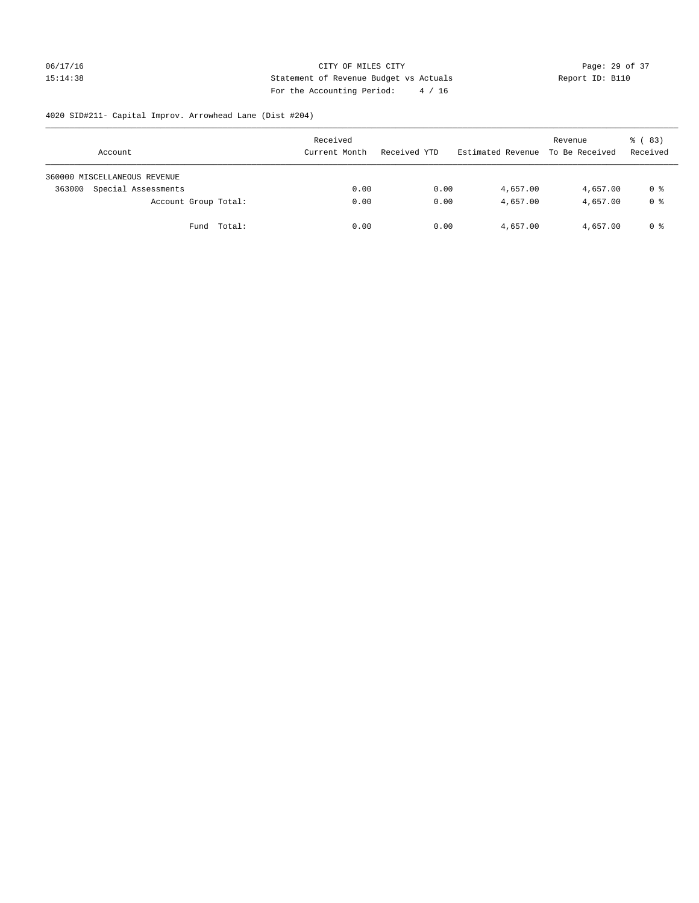## 06/17/16 Page: 29 of 37 15:14:38 Statement of Revenue Budget vs Actuals Report ID: B110 For the Accounting Period: 4 / 16

# 4020 SID#211- Capital Improv. Arrowhead Lane (Dist #204)

| Account                       | Received<br>Current Month | Received YTD | Estimated Revenue | Revenue<br>To Be Received | $\frac{6}{6}$ (83)<br>Received |
|-------------------------------|---------------------------|--------------|-------------------|---------------------------|--------------------------------|
| 360000 MISCELLANEOUS REVENUE  |                           |              |                   |                           |                                |
| Special Assessments<br>363000 | 0.00                      | 0.00         | 4,657.00          | 4,657.00                  | 0 %                            |
| Account Group Total:          | 0.00                      | 0.00         | 4,657.00          | 4,657.00                  | 0 %                            |
| Fund Total:                   | 0.00                      | 0.00         | 4,657.00          | 4,657.00                  | 0 %                            |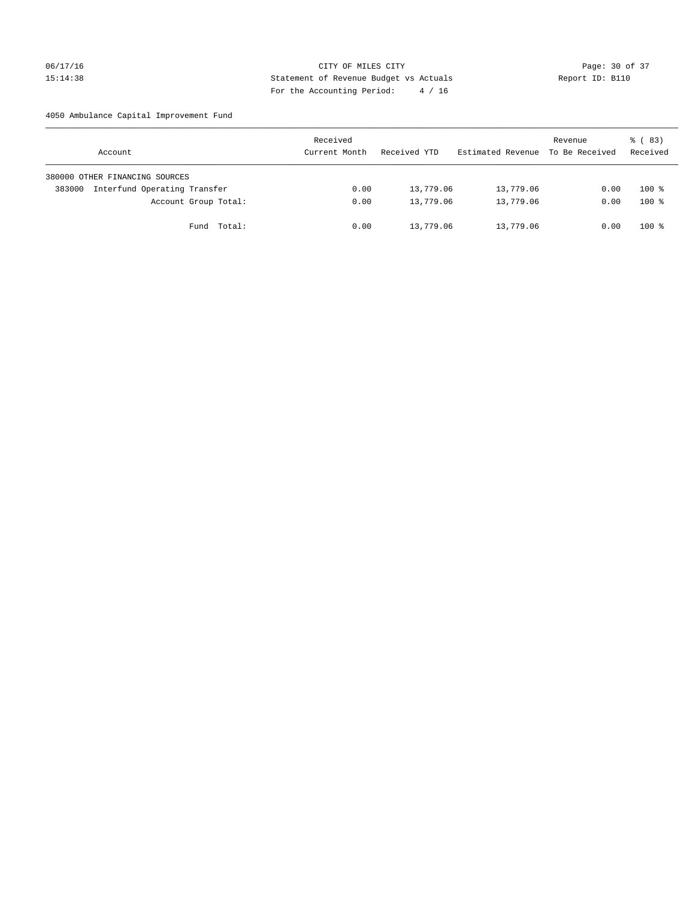## 06/17/16 Page: 30 of 37 15:14:38 Statement of Revenue Budget vs Actuals Report ID: B110 For the Accounting Period: 4 / 16

## 4050 Ambulance Capital Improvement Fund

| Account                                | Received<br>Current Month | Received YTD | Estimated Revenue | Revenue<br>To Be Received | 8 (83)<br>Received |
|----------------------------------------|---------------------------|--------------|-------------------|---------------------------|--------------------|
| 380000 OTHER FINANCING SOURCES         |                           |              |                   |                           |                    |
| Interfund Operating Transfer<br>383000 | 0.00                      | 13,779.06    | 13,779.06         | 0.00                      | $100*$             |
| Account Group Total:                   | 0.00                      | 13,779.06    | 13,779.06         | 0.00                      | $100*$             |
| Fund Total:                            | 0.00                      | 13,779.06    | 13,779.06         | 0.00                      | $100*$             |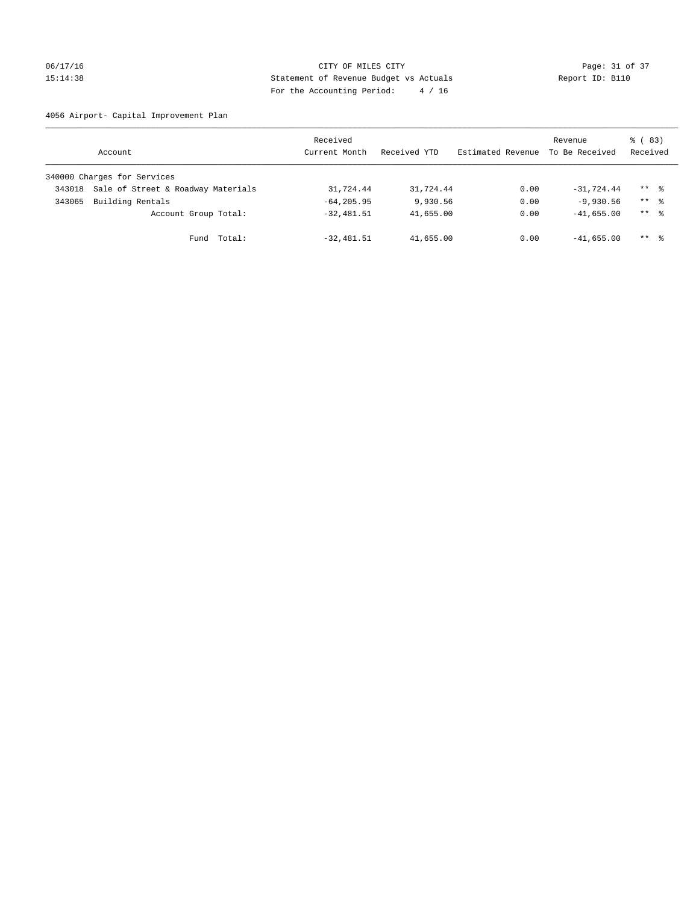## 06/17/16 Page: 31 of 37 15:14:38 Statement of Revenue Budget vs Actuals Report ID: B110 For the Accounting Period: 4 / 16

4056 Airport- Capital Improvement Plan

|        | Account                            | Received<br>Current Month | Received YTD | Estimated Revenue | Revenue<br>To Be Received | 8 (83)<br>Received |
|--------|------------------------------------|---------------------------|--------------|-------------------|---------------------------|--------------------|
|        | 340000 Charges for Services        |                           |              |                   |                           |                    |
| 343018 | Sale of Street & Roadway Materials | 31,724.44                 | 31,724.44    | 0.00              | $-31,724.44$              | $***$ %            |
| 343065 | Building Rentals                   | $-64, 205.95$             | 9,930.56     | 0.00              | $-9,930.56$               | $***$ %            |
|        | Account Group Total:               | $-32,481.51$              | 41,655.00    | 0.00              | $-41,655.00$              | $***$ %            |
|        | Fund Total:                        | $-32,481.51$              | 41,655.00    | 0.00              | $-41,655.00$              | $***$ $\approx$    |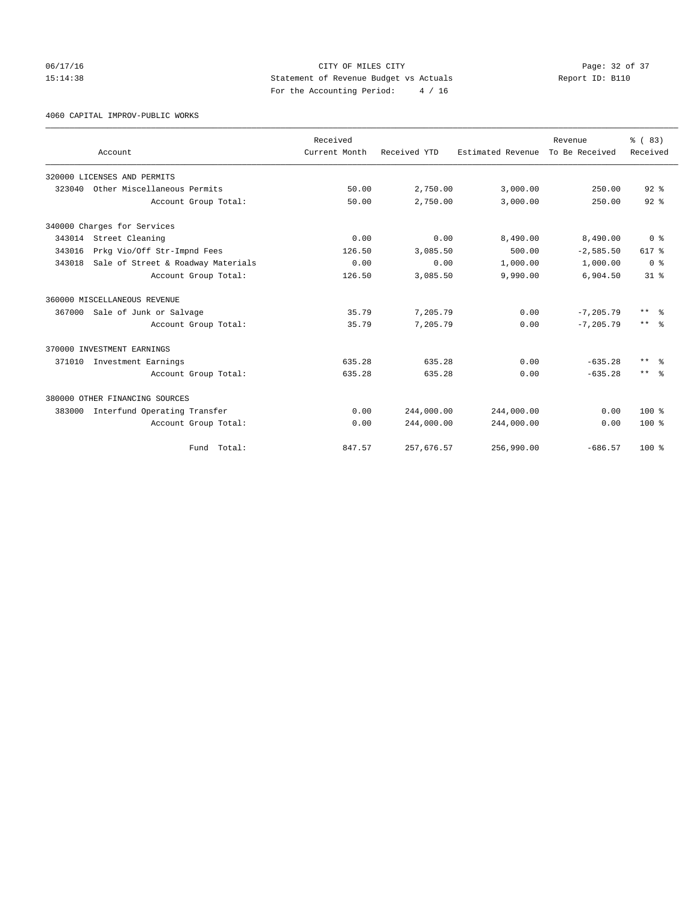06/17/16 Page: 32 of 37 15:14:38 Statement of Revenue Budget vs Actuals Report ID: B110 For the Accounting Period: 4 / 16

4060 CAPITAL IMPROV-PUBLIC WORKS

|        |                                     | Received      |              |                   | Revenue        | % (83)          |
|--------|-------------------------------------|---------------|--------------|-------------------|----------------|-----------------|
|        | Account                             | Current Month | Received YTD | Estimated Revenue | To Be Received | Received        |
|        | 320000 LICENSES AND PERMITS         |               |              |                   |                |                 |
| 323040 | Other Miscellaneous Permits         | 50.00         | 2,750.00     | 3,000.00          | 250.00         | $92$ $%$        |
|        | Account Group Total:                | 50.00         | 2,750.00     | 3,000.00          | 250.00         | 92 <sup>8</sup> |
|        | 340000 Charges for Services         |               |              |                   |                |                 |
|        | 343014 Street Cleaning              | 0.00          | 0.00         | 8,490.00          | 8,490.00       | 0 <sup>8</sup>  |
| 343016 | Prkg Vio/Off Str-Impnd Fees         | 126.50        | 3,085.50     | 500.00            | $-2,585.50$    | 617 %           |
| 343018 | Sale of Street & Roadway Materials  | 0.00          | 0.00         | 1,000.00          | 1,000.00       | 0 <sup>8</sup>  |
|        | Account Group Total:                | 126.50        | 3,085.50     | 9,990.00          | 6,904.50       | 31 <sup>8</sup> |
|        | 360000 MISCELLANEOUS REVENUE        |               |              |                   |                |                 |
|        | 367000 Sale of Junk or Salvage      | 35.79         | 7,205.79     | 0.00              | $-7, 205.79$   | ** %            |
|        | Account Group Total:                | 35.79         | 7,205.79     | 0.00              | $-7, 205.79$   | $***$ $ -$      |
|        | 370000 INVESTMENT EARNINGS          |               |              |                   |                |                 |
|        | 371010 Investment Earnings          | 635.28        | 635.28       | 0.00              | $-635.28$      | $***$ $ -$      |
|        | Account Group Total:                | 635.28        | 635.28       | 0.00              | $-635.28$      | $***$ $=$       |
|        | 380000 OTHER FINANCING SOURCES      |               |              |                   |                |                 |
|        | 383000 Interfund Operating Transfer | 0.00          | 244,000.00   | 244,000.00        | 0.00           | $100*$          |
|        | Account Group Total:                | 0.00          | 244,000.00   | 244,000.00        | 0.00           | $100*$          |
|        | Fund Total:                         | 847.57        | 257,676.57   | 256,990.00        | $-686.57$      | $100*$          |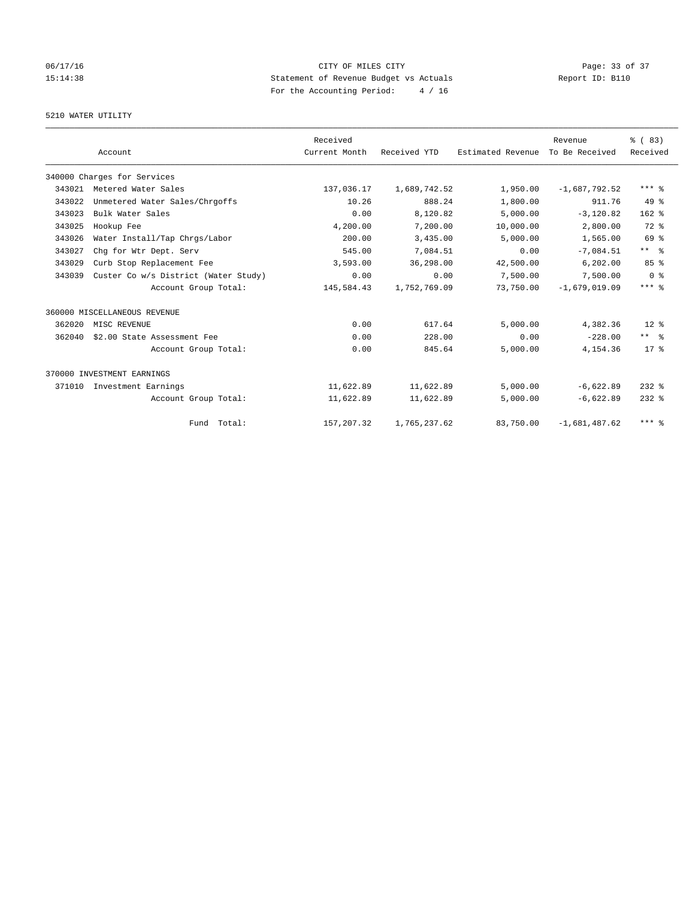## 06/17/16 Page: 33 of 37 15:14:38 Statement of Revenue Budget vs Actuals Report ID: B110 For the Accounting Period: 4 / 16

## 5210 WATER UTILITY

|        |                                      | Received      |              |                   | Revenue         | % (83)          |
|--------|--------------------------------------|---------------|--------------|-------------------|-----------------|-----------------|
|        | Account                              | Current Month | Received YTD | Estimated Revenue | To Be Received  | Received        |
|        | 340000 Charges for Services          |               |              |                   |                 |                 |
| 343021 | Metered Water Sales                  | 137,036.17    | 1,689,742.52 | 1,950.00          | $-1,687,792.52$ | $***$ $%$       |
| 343022 | Unmetered Water Sales/Chrgoffs       | 10.26         | 888.24       | 1,800.00          | 911.76          | $49*$           |
| 343023 | Bulk Water Sales                     | 0.00          | 8,120.82     | 5.000.00          | $-3.120.82$     | $162$ %         |
| 343025 | Hookup Fee                           | 4,200.00      | 7,200.00     | 10,000.00         | 2,800.00        | $72*$           |
| 343026 | Water Install/Tap Chrgs/Labor        | 200.00        | 3,435.00     | 5,000.00          | 1,565.00        | 69 %            |
| 343027 | Chg for Wtr Dept. Serv               | 545.00        | 7,084.51     | 0.00              | $-7,084.51$     | $***$ $%$       |
| 343029 | Curb Stop Replacement Fee            | 3,593.00      | 36,298.00    | 42,500.00         | 6, 202, 00      | 85 <sup>8</sup> |
| 343039 | Custer Co w/s District (Water Study) | 0.00          | 0.00         | 7,500.00          | 7,500.00        | 0 <sup>8</sup>  |
|        | Account Group Total:                 | 145,584.43    | 1,752,769.09 | 73,750.00         | $-1,679,019.09$ | $***$ $%$       |
|        | 360000 MISCELLANEOUS REVENUE         |               |              |                   |                 |                 |
| 362020 | MISC REVENUE                         | 0.00          | 617.64       | 5,000.00          | 4,382.36        | $12*$           |
| 362040 | \$2.00 State Assessment Fee          | 0.00          | 228.00       | 0.00              | $-228.00$       | $***$ $%$       |
|        | Account Group Total:                 | 0.00          | 845.64       | 5,000.00          | 4, 154.36       | $17*$           |
|        | 370000 INVESTMENT EARNINGS           |               |              |                   |                 |                 |
| 371010 | Investment Earnings                  | 11,622.89     | 11,622.89    | 5,000.00          | $-6,622.89$     | $232$ $%$       |
|        | Account Group Total:                 | 11,622.89     | 11,622.89    | 5,000.00          | $-6,622.89$     | $232$ $%$       |
|        | Fund Total:                          | 157,207.32    | 1,765,237.62 | 83,750.00         | $-1,681,487.62$ | $***$ $%$       |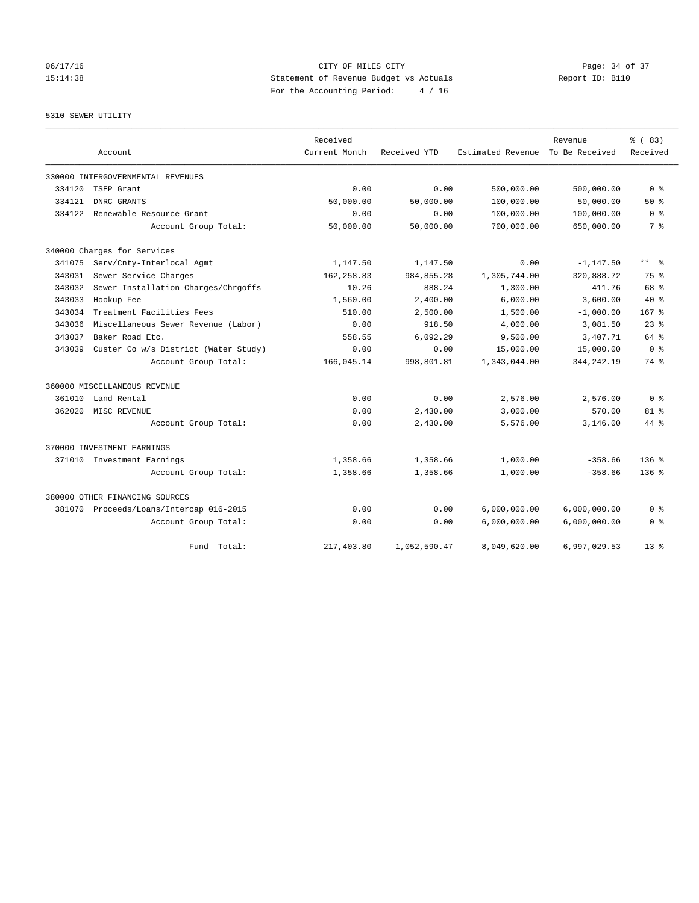## 06/17/16 Page: 34 of 37 15:14:38 Statement of Revenue Budget vs Actuals Report ID: B110 For the Accounting Period: 4 / 16

5310 SEWER UTILITY

|        |                                         | Received      |              |                   | Revenue        | % (83)           |
|--------|-----------------------------------------|---------------|--------------|-------------------|----------------|------------------|
|        | Account                                 | Current Month | Received YTD | Estimated Revenue | To Be Received | Received         |
|        | 330000 INTERGOVERNMENTAL REVENUES       |               |              |                   |                |                  |
| 334120 | TSEP Grant                              | 0.00          | 0.00         | 500,000.00        | 500,000.00     | 0 <sup>8</sup>   |
| 334121 | DNRC GRANTS                             | 50,000.00     | 50,000.00    | 100,000.00        | 50,000.00      | $50*$            |
| 334122 | Renewable Resource Grant                | 0.00          | 0.00         | 100,000.00        | 100,000.00     | 0 <sup>8</sup>   |
|        | Account Group Total:                    | 50,000.00     | 50,000.00    | 700,000.00        | 650,000.00     | 7 %              |
|        | 340000 Charges for Services             |               |              |                   |                |                  |
|        | 341075 Serv/Cnty-Interlocal Agmt        | 1,147.50      | 1,147.50     | 0.00              | $-1, 147.50$   | ** %             |
| 343031 | Sewer Service Charges                   | 162,258.83    | 984,855.28   | 1,305,744.00      | 320,888.72     | 75 %             |
| 343032 | Sewer Installation Charges/Chrgoffs     | 10.26         | 888.24       | 1,300.00          | 411.76         | 68 %             |
| 343033 | Hookup Fee                              | 1,560.00      | 2.400.00     | 6,000.00          | 3,600.00       | $40*$            |
| 343034 | Treatment Facilities Fees               | 510.00        | 2,500.00     | 1,500.00          | $-1,000.00$    | 167 <sub>8</sub> |
| 343036 | Miscellaneous Sewer Revenue (Labor)     | 0.00          | 918.50       | 4,000.00          | 3,081.50       | $23$ $%$         |
| 343037 | Baker Road Etc.                         | 558.55        | 6,092.29     | 9,500.00          | 3,407.71       | 64 %             |
| 343039 | Custer Co w/s District (Water Study)    | 0.00          | 0.00         | 15,000.00         | 15,000.00      | 0 <sup>8</sup>   |
|        | Account Group Total:                    | 166,045.14    | 998,801.81   | 1,343,044.00      | 344, 242. 19   | 74 %             |
|        | 360000 MISCELLANEOUS REVENUE            |               |              |                   |                |                  |
| 361010 | Land Rental                             | 0.00          | 0.00         | 2,576.00          | 2,576.00       | 0 <sup>8</sup>   |
| 362020 | MISC REVENUE                            | 0.00          | 2,430.00     | 3,000.00          | 570.00         | $81$ %           |
|        | Account Group Total:                    | 0.00          | 2,430.00     | 5,576.00          | 3,146.00       | 44 %             |
|        | 370000 INVESTMENT EARNINGS              |               |              |                   |                |                  |
|        | 371010 Investment Earnings              | 1,358.66      | 1,358.66     | 1,000.00          | $-358.66$      | $136$ $%$        |
|        | Account Group Total:                    | 1,358.66      | 1,358.66     | 1,000.00          | $-358.66$      | $136*$           |
|        | 380000 OTHER FINANCING SOURCES          |               |              |                   |                |                  |
|        | 381070 Proceeds/Loans/Intercap 016-2015 | 0.00          | 0.00         | 6,000,000.00      | 6,000,000.00   | 0 %              |
|        | Account Group Total:                    | 0.00          | 0.00         | 6,000,000.00      | 6,000,000.00   | 0 <sup>8</sup>   |
|        | Fund Total:                             | 217,403.80    | 1,052,590.47 | 8,049,620.00      | 6,997,029.53   | $13*$            |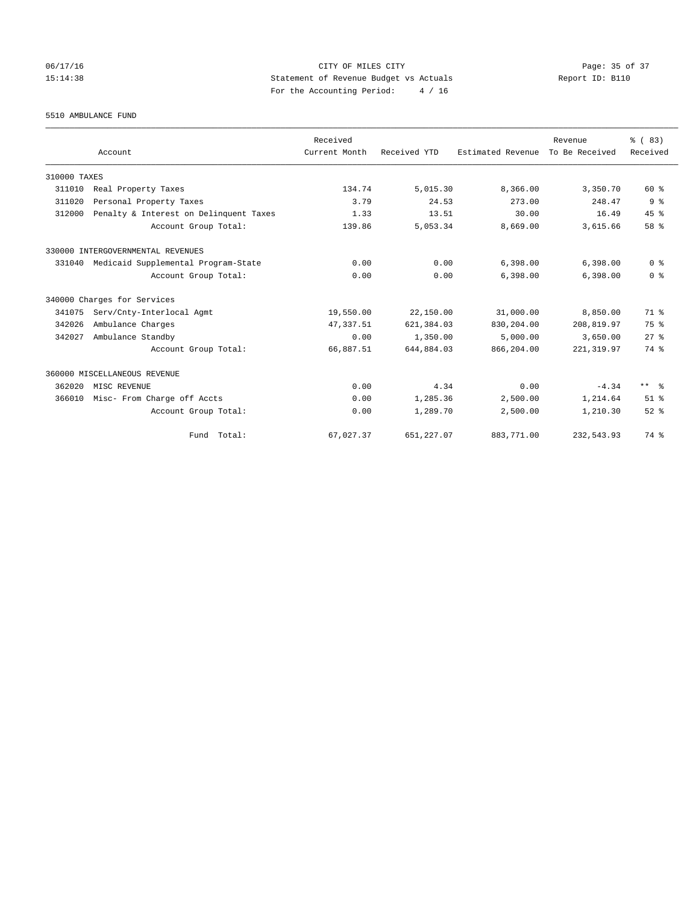## 06/17/16 Page: 35 of 37 15:14:38 Statement of Revenue Budget vs Actuals Report ID: B110 For the Accounting Period: 4 / 16

5510 AMBULANCE FUND

|              |                                        | Received      |              |                   | Revenue        | % (83)          |
|--------------|----------------------------------------|---------------|--------------|-------------------|----------------|-----------------|
|              | Account                                | Current Month | Received YTD | Estimated Revenue | To Be Received | Received        |
| 310000 TAXES |                                        |               |              |                   |                |                 |
| 311010       | Real Property Taxes                    | 134.74        | 5,015.30     | 8,366.00          | 3,350.70       | 60 %            |
| 311020       | Personal Property Taxes                | 3.79          | 24.53        | 273.00            | 248.47         | 9 <sup>8</sup>  |
| 312000       | Penalty & Interest on Delinquent Taxes | 1.33          | 13.51        | 30.00             | 16.49          | 45%             |
|              | Account Group Total:                   | 139.86        | 5,053.34     | 8,669.00          | 3,615.66       | 58 %            |
|              | 330000 INTERGOVERNMENTAL REVENUES      |               |              |                   |                |                 |
| 331040       | Medicaid Supplemental Program-State    | 0.00          | 0.00         | 6,398.00          | 6,398.00       | 0 <sup>8</sup>  |
|              | Account Group Total:                   | 0.00          | 0.00         | 6.398.00          | 6,398.00       | 0 <sup>8</sup>  |
|              | 340000 Charges for Services            |               |              |                   |                |                 |
| 341075       | Serv/Cnty-Interlocal Agmt              | 19,550.00     | 22,150.00    | 31,000.00         | 8,850.00       | 71 %            |
| 342026       | Ambulance Charges                      | 47, 337.51    | 621, 384.03  | 830,204.00        | 208,819.97     | 75 %            |
| 342027       | Ambulance Standby                      | 0.00          | 1,350.00     | 5,000.00          | 3,650.00       | $27$ $%$        |
|              | Account Group Total:                   | 66,887.51     | 644,884.03   | 866,204.00        | 221, 319.97    | 74 %            |
|              | 360000 MISCELLANEOUS REVENUE           |               |              |                   |                |                 |
| 362020       | MISC REVENUE                           | 0.00          | 4.34         | 0.00              | $-4.34$        | $***$ $\approx$ |
| 366010       | Misc- From Charge off Accts            | 0.00          | 1,285.36     | 2,500.00          | 1,214.64       | $51$ $%$        |
|              | Account Group Total:                   | 0.00          | 1,289.70     | 2,500.00          | 1,210.30       | $52$ $%$        |
|              | Fund Total:                            | 67,027.37     | 651,227.07   | 883,771.00        | 232,543.93     | 74 %            |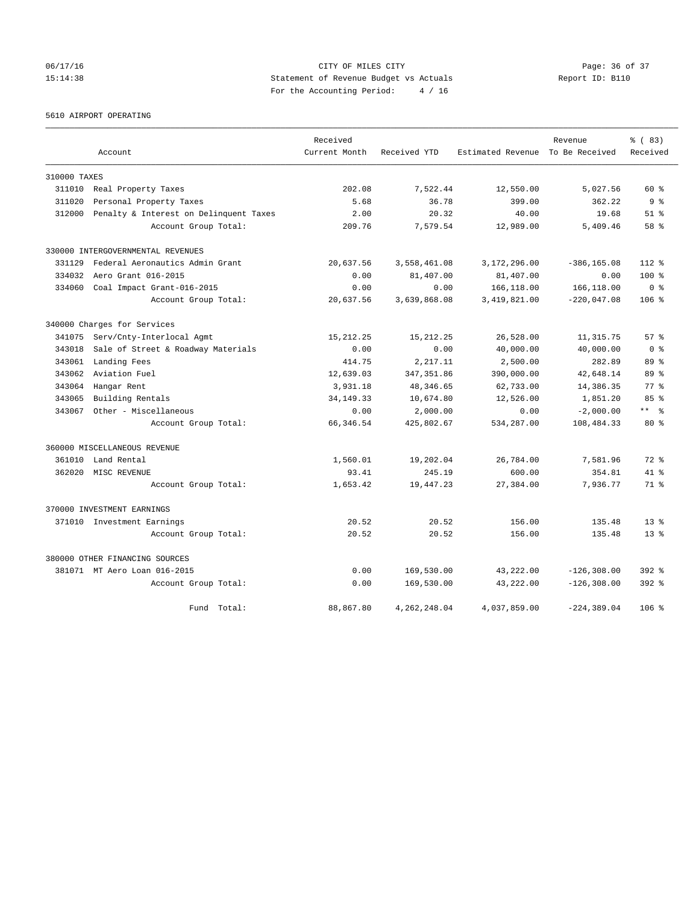## 06/17/16 Page: 36 of 37 15:14:38 Statement of Revenue Budget vs Actuals Report ID: B110 For the Accounting Period: 4 / 16

5610 AIRPORT OPERATING

|              |                                        | Received      |                |                                  | Revenue        | % (83)          |
|--------------|----------------------------------------|---------------|----------------|----------------------------------|----------------|-----------------|
|              | Account                                | Current Month | Received YTD   | Estimated Revenue To Be Received |                | Received        |
| 310000 TAXES |                                        |               |                |                                  |                |                 |
| 311010       | Real Property Taxes                    | 202.08        | 7,522.44       | 12,550.00                        | 5,027.56       | $60*$           |
| 311020       | Personal Property Taxes                | 5.68          | 36.78          | 399.00                           | 362.22         | 9 <sup>8</sup>  |
| 312000       | Penalty & Interest on Delinquent Taxes | 2.00          | 20.32          | 40.00                            | 19.68          | $51$ $%$        |
|              | Account Group Total:                   | 209.76        | 7,579.54       | 12,989.00                        | 5,409.46       | 58 %            |
|              | 330000 INTERGOVERNMENTAL REVENUES      |               |                |                                  |                |                 |
| 331129       | Federal Aeronautics Admin Grant        | 20,637.56     | 3,558,461.08   | 3,172,296.00                     | $-386, 165.08$ | $112*$          |
| 334032       | Aero Grant 016-2015                    | 0.00          | 81,407.00      | 81,407.00                        | 0.00           | $100*$          |
| 334060       | Coal Impact Grant-016-2015             | 0.00          | 0.00           | 166,118.00                       | 166,118.00     | 0 <sup>8</sup>  |
|              | Account Group Total:                   | 20,637.56     | 3,639,868.08   | 3,419,821.00                     | $-220,047.08$  | $106$ %         |
|              | 340000 Charges for Services            |               |                |                                  |                |                 |
| 341075       | Serv/Cnty-Interlocal Agmt              | 15, 212. 25   | 15, 212, 25    | 26,528.00                        | 11, 315.75     | $57*$           |
| 343018       | Sale of Street & Roadway Materials     | 0.00          | 0.00           | 40,000.00                        | 40,000.00      | 0 <sup>8</sup>  |
| 343061       | Landing Fees                           | 414.75        | 2,217.11       | 2,500.00                         | 282.89         | $89*$           |
| 343062       | Aviation Fuel                          | 12,639.03     | 347, 351.86    | 390,000.00                       | 42,648.14      | 89 %            |
| 343064       | Hangar Rent                            | 3,931.18      | 48, 346.65     | 62,733.00                        | 14,386.35      | $77*$           |
| 343065       | Building Rentals                       | 34, 149. 33   | 10,674.80      | 12,526.00                        | 1,851.20       | 85%             |
| 343067       | Other - Miscellaneous                  | 0.00          | 2,000.00       | 0.00                             | $-2,000.00$    | $***$ $ -$      |
|              | Account Group Total:                   | 66, 346.54    | 425,802.67     | 534,287.00                       | 108,484.33     | 80 <sub>8</sub> |
|              | 360000 MISCELLANEOUS REVENUE           |               |                |                                  |                |                 |
| 361010       | Land Rental                            | 1,560.01      | 19,202.04      | 26,784.00                        | 7,581.96       | $72$ $%$        |
| 362020       | MISC REVENUE                           | 93.41         | 245.19         | 600.00                           | 354.81         | $41*$           |
|              | Account Group Total:                   | 1,653.42      | 19,447.23      | 27,384.00                        | 7,936.77       | 71 %            |
|              | 370000 INVESTMENT EARNINGS             |               |                |                                  |                |                 |
|              | 371010 Investment Earnings             | 20.52         | 20.52          | 156.00                           | 135.48         | $13*$           |
|              | Account Group Total:                   | 20.52         | 20.52          | 156.00                           | 135.48         | $13*$           |
|              | 380000 OTHER FINANCING SOURCES         |               |                |                                  |                |                 |
|              | 381071 MT Aero Loan 016-2015           | 0.00          | 169,530.00     | 43,222.00                        | $-126, 308.00$ | $392$ $%$       |
|              | Account Group Total:                   | 0.00          | 169,530.00     | 43,222.00                        | $-126, 308.00$ | 392 %           |
|              | Fund Total:                            | 88,867.80     | 4, 262, 248.04 | 4,037,859.00                     | $-224, 389.04$ | 106 %           |